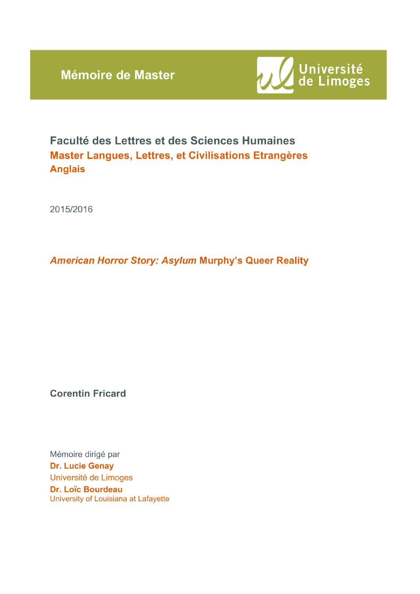**Mémoire de Master** 



## Faculté des Lettres et des Sciences Humaines Master Langues, Lettres, et Civilisations Etrangères **Anglais**

2015/2016

**American Horror Story: Asylum Murphy's Queer Reality** 

**Corentin Fricard** 

Mémoire dirigé par **Dr. Lucie Genay** Université de Limoges Dr. Loïc Bourdeau University of Louisiana at Lafayette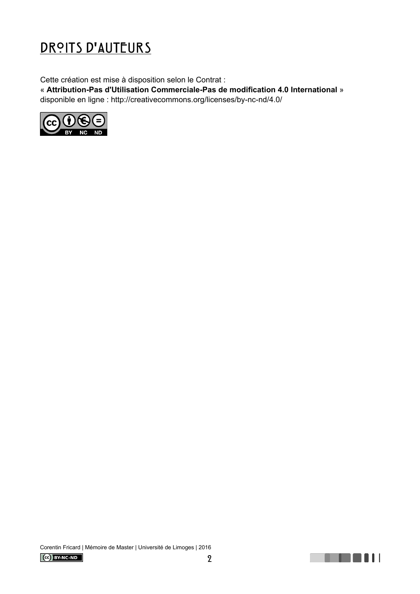# <span id="page-1-0"></span>DROITS D'AUTEURS

Cette création est mise à disposition selon le Contrat : « **Attribution-Pas d'Utilisation Commerciale-Pas de modification 4.0 International** » disponible en ligne :<http://creativecommons.org/licenses/by-nc-nd/4.0/>



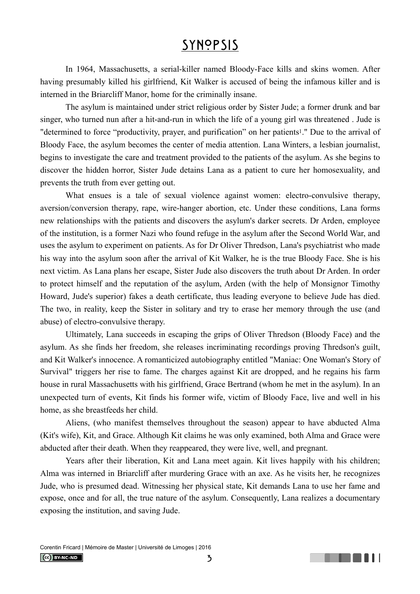## <span id="page-2-1"></span><span id="page-2-0"></span>Synopsis

In 1964, Massachusetts, a serial-killer named Bloody-Face kills and skins women. After having presumably killed his girlfriend, Kit Walker is accused of being the infamous killer and is interned in the Briarcliff Manor, home for the criminally insane.

 The asylum is maintained under strict religious order by Sister Jude; a former drunk and bar singer, who turned nun after a hit-and-run in which the life of a young girl was threatened . Jude is "determined to force "productivity, prayer, and purification" on her patient[s1](#page-55-0)." Due to the arrival of Bloody Face, the asylum becomes the center of media attention. Lana Winters, a lesbian journalist, begins to investigate the care and treatment provided to the patients of the asylum. As she begins to discover the hidden horror, Sister Jude detains Lana as a patient to cure her homosexuality, and prevents the truth from ever getting out.

What ensues is a tale of sexual violence against women: electro-convulsive therapy, aversion/conversion therapy, rape, wire-hanger abortion, etc. Under these conditions, Lana forms new relationships with the patients and discovers the asylum's darker secrets. Dr Arden, employee of the institution, is a former Nazi who found refuge in the asylum after the Second World War, and uses the asylum to experiment on patients. As for Dr Oliver Thredson, Lana's psychiatrist who made his way into the asylum soon after the arrival of Kit Walker, he is the true Bloody Face. She is his next victim. As Lana plans her escape, Sister Jude also discovers the truth about Dr Arden. In order to protect himself and the reputation of the asylum, Arden (with the help of Monsignor Timothy Howard, Jude's superior) fakes a death certificate, thus leading everyone to believe Jude has died. The two, in reality, keep the Sister in solitary and try to erase her memory through the use (and abuse) of electro-convulsive therapy.

 Ultimately, Lana succeeds in escaping the grips of Oliver Thredson (Bloody Face) and the asylum. As she finds her freedom, she releases incriminating recordings proving Thredson's guilt, and Kit Walker's innocence. A romanticized autobiography entitled "Maniac: One Woman's Story of Survival" triggers her rise to fame. The charges against Kit are dropped, and he regains his farm house in rural Massachusetts with his girlfriend, Grace Bertrand (whom he met in the asylum). In an unexpected turn of events, Kit finds his former wife, victim of Bloody Face, live and well in his home, as she breastfeeds her child.

 Aliens, (who manifest themselves throughout the season) appear to have abducted Alma (Kit's wife), Kit, and Grace. Although Kit claims he was only examined, both Alma and Grace were abducted after their death. When they reappeared, they were live, well, and pregnant.

 Years after their liberation, Kit and Lana meet again. Kit lives happily with his children; Alma was interned in Briarcliff after murdering Grace with an axe. As he visits her, he recognizes Jude, who is presumed dead. Witnessing her physical state, Kit demands Lana to use her fame and expose, once and for all, the true nature of the asylum. Consequently, Lana realizes a documentary exposing the institution, and saving Jude.

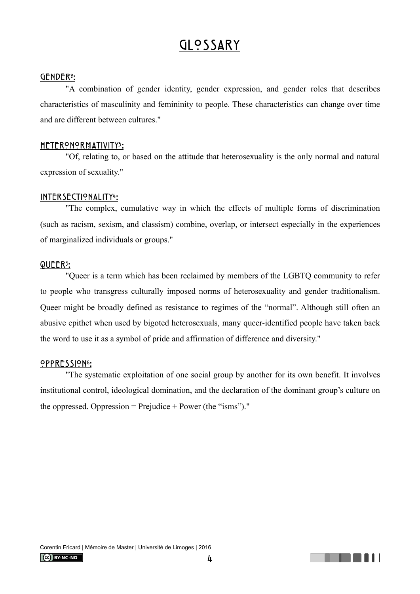# <span id="page-3-0"></span>GLOSSARY

#### <span id="page-3-1"></span>GENDER<sup>[2](#page-55-1)</sup>:

 "A combination of gender identity, gender expression, and gender roles that describes characteristics of masculinity and femininity to people. These characteristics can change over time and are different between cultures."

### <span id="page-3-2"></span>Heteronormativity **:** [3](#page-55-2)

 "Of, relating to, or based on the attitude that [heterosexuality](http://www.merriam-webster.com/dictionary/heterosexuality) is the only normal and natural expression of sexuality."

### <span id="page-3-3"></span>INTERSECTIONALITY<sup>[4](#page-55-3)</sup>:

"The complex, cumulative way in which the effects of multiple forms of discrimination (such as racism, sexism, and classism) combine, overlap, or intersect especially in the experiences of marginalized individuals or groups."

#### <span id="page-3-4"></span>QUEER<sup>[5](#page-55-4)</sup>:

 "Queer is a term which has been reclaimed by members of the LGBTQ community to refer to people who transgress culturally imposed norms of heterosexuality and gender traditionalism. Queer might be broadly defined as resistance to regimes of the "normal". Although still often an abusive epithet when used by bigoted heterosexuals, many queer-identified people have taken back the word to use it as a symbol of pride and affirmation of difference and diversity."

#### <span id="page-3-5"></span>OPPRESSION **:** [6](#page-55-5)

 "The systematic exploitation of one social group by another for its own benefit. It involves institutional control, ideological domination, and the declaration of the dominant group's culture on the oppressed. Oppression = Prejudice + Power (the "isms")."

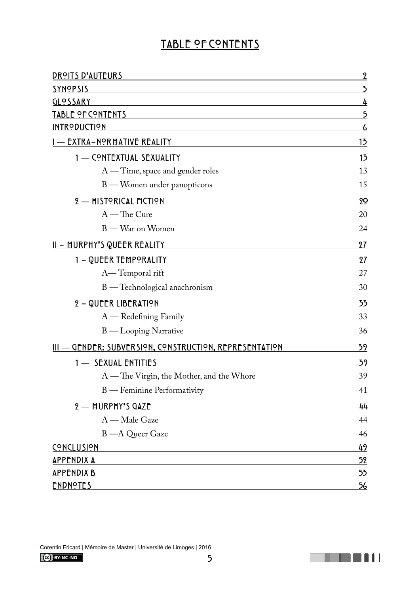## <span id="page-4-0"></span>TABLE OF CONTENTS

| <u>DR?ITS D'AUTEURS</u>                                       | 2                       |
|---------------------------------------------------------------|-------------------------|
| <b>SYNOPSIS</b>                                               | $\overline{\mathbf{z}}$ |
| <u>GLOSSARY</u>                                               | 4                       |
| <b>TABLE OF CONTENTS</b>                                      | $\overline{\mathbf{5}}$ |
| <b>INTRODUCTION</b>                                           | <u>6</u>                |
| <u>EXTRA-NORMATIVE REALITY</u>                                | 15                      |
| 1 - CONTEXTUAL SEXUALITY                                      | 15                      |
| $A - Time$ , space and gender roles                           | 13                      |
| $B$ — Women under panopticons                                 | 15                      |
| 2 - HISTORICAL FICTION                                        | 20                      |
| $A$ – The Cure                                                | 20                      |
| $B - W$ ar on Women                                           | 24                      |
| <u>II - MURPHY'S QUEER REALITY</u>                            | 27                      |
| 1 - QUEER TEMPORALITY                                         | 27                      |
| A-Temporal rift                                               | 27                      |
| B - Technological anachronism                                 | 30                      |
| 2 - QUEER LIBERATION                                          | 33                      |
| $A$ — Redefining Family                                       | 33                      |
| B — Looping Narrative                                         | 36                      |
| <u>III — GENDER: SUBVERSION, CONSTRUCTION, REPRESENTATION</u> | 39                      |
| 1 - SEXUAL ENTITIES                                           | 39                      |
| A — The Virgin, the Mother, and the Whore                     | 39                      |
| B — Feminine Performativity                                   | 41                      |
| 2 - MURPHY'S GAZE                                             | 44                      |
| A — Male Gaze                                                 | 44                      |
| B - A Queer Gaze                                              | 46                      |
| <b>CONCLUSION</b>                                             | 49                      |
| <u>APPENDIX A</u>                                             | <u>52</u>               |
| APPENDIX B                                                    | <u>53</u>               |
| <b>ENDNOTES</b>                                               | 56                      |

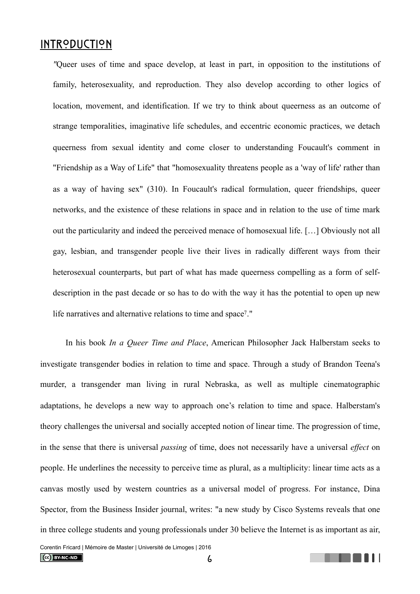### <span id="page-5-0"></span>Introduction

*"*Queer uses of time and space develop, at least in part, in opposition to the institutions of family, heterosexuality, and reproduction. They also develop according to other logics of location, movement, and identification. If we try to think about queerness as an outcome of strange temporalities, imaginative life schedules, and eccentric economic practices, we detach queerness from sexual identity and come closer to understanding Foucault's comment in "Friendship as a Way of Life" that "homosexuality threatens people as a 'way of life' rather than as a way of having sex" (310). In Foucault's radical formulation, queer friendships, queer networks, and the existence of these relations in space and in relation to the use of time mark out the particularity and indeed the perceived menace of homosexual life. […] Obviously not all gay, lesbian, and transgender people live their lives in radically different ways from their heterosexual counterparts, but part of what has made queerness compelling as a form of selfdescription in the past decade or so has to do with the way it has the potential to open up new life narratives and alternative relations to time and space<sup>[7](#page-55-7)</sup>."

<span id="page-5-1"></span> In his book *In a Queer Time and Place*, American Philosopher Jack Halberstam seeks to investigate transgender bodies in relation to time and space. Through a study of Brandon Teena's murder, a transgender man living in rural Nebraska, as well as multiple cinematographic adaptations, he develops a new way to approach one's relation to time and space. Halberstam's theory challenges the universal and socially accepted notion of linear time. The progression of time, in the sense that there is universal *passing* of time, does not necessarily have a universal *effect* on people. He underlines the necessity to perceive time as plural, as a multiplicity: linear time acts as a canvas mostly used by western countries as a universal model of progress. For instance, Dina Spector, from the Business Insider journal, writes: "a new study by Cisco Systems reveals that one in three college students and young professionals under 30 believe the Internet is as important as air,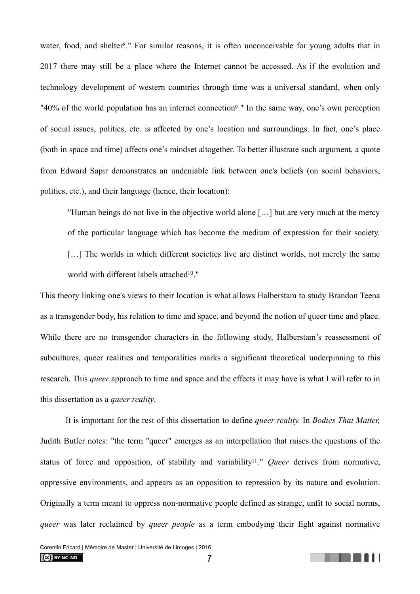<span id="page-6-0"></span>water, food, and shelter<sup>[8](#page-55-8)</sup>." For similar reasons, it is often unconceivable for young adults that in 2017 there may still be a place where the Internet cannot be accessed. As if the evolution and technology development of western countries through time was a universal standard, when only "40% of the world population has an internet connectio[n9](#page-55-9)." In the same way, one's own perception of social issues, politics, etc. is affected by one's location and surroundings. In fact, one's place (both in space and time) affects one's mindset altogether. To better illustrate such argument, a quote from Edward Sapir demonstrates an undeniable link between one's beliefs (on social behaviors, politics, etc.), and their language (hence, their location):

<span id="page-6-2"></span><span id="page-6-1"></span>"Human beings do not live in the objective world alone […] but are very much at the mercy of the particular language which has become the medium of expression for their society. [...] The worlds in which different societies live are distinct worlds, not merely the same world with different labels attached<sup>[10](#page-55-10)</sup>."

This theory linking one's views to their location is what allows Halberstam to study Brandon Teena as a transgender body, his relation to time and space, and beyond the notion of queer time and place. While there are no transgender characters in the following study, Halberstam's reassessment of subcultures, queer realities and temporalities marks a significant theoretical underpinning to this research. This *queer* approach to time and space and the effects it may have is what I will refer to in this dissertation as a *queer reality*.

 It is important for the rest of this dissertation to define *queer reality.* In *Bodies That Matter,* Judith Butler notes: "the term "queer" emerges as an interpellation that raises the questions of the status of force and opposition, of stability and variability<sup>[11](#page-55-11)</sup>." *Queer* derives from normative, oppressive environments, and appears as an opposition to repression by its nature and evolution. Originally a term meant to oppress non-normative people defined as strange, unfit to social norms, *queer* was later reclaimed by *queer people* as a term embodying their fight against normative

<span id="page-6-3"></span>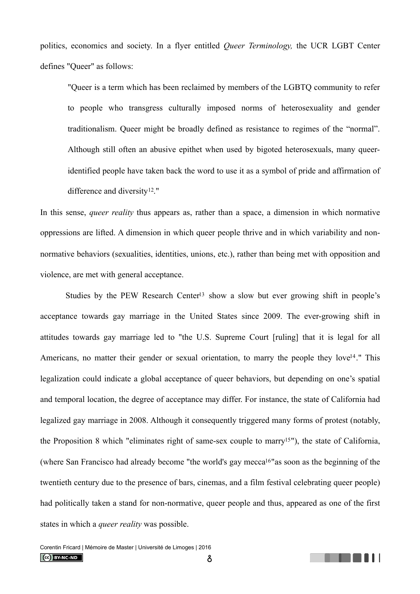politics, economics and society. In a flyer entitled *Queer Terminology,* the UCR LGBT Center defines "Queer" as follows:

"Queer is a term which has been reclaimed by members of the LGBTQ community to refer to people who transgress culturally imposed norms of heterosexuality and gender traditionalism. Queer might be broadly defined as resistance to regimes of the "normal". Although still often an abusive epithet when used by bigoted heterosexuals, many queeridentified people have taken back the word to use it as a symbol of pride and affirmation of difference and diversity $12$ [.](#page-55-12)"

<span id="page-7-0"></span>In this sense, *queer reality* thus appears as, rather than a space, a dimension in which normative oppressions are lifted. A dimension in which queer people thrive and in which variability and nonnormative behaviors (sexualities, identities, unions, etc.), rather than being met with opposition and violence, are met with general acceptance.

<span id="page-7-1"></span>Studies by the PEW Resea[r](#page-55-13)ch Center<sup>[13](#page-55-13)</sup> show a slow but ever growing shift in people's acceptance towards gay marriage in the United States since 2009. The ever-growing shift in attitudes towards gay marriage led to "the U.S. Supreme Court [ruling] that it is legal for all Americans, no matter their gender or sexual orientation, to marry the people they love<sup>[14](#page-55-14)</sup>." This legalization could indicate a global acceptance of queer behaviors, but depending on one's spatial and temporal location, the degree of acceptance may differ. For instance, the state of California had legalized gay marriage in 2008. Although it consequently triggered many forms of protest (notably, the Proposition 8 which "eliminates right of same-sex couple to marry<sup>[15](#page-55-15)"</sup>), the state of California, (where San Francisco had already become "the world's gay mecca<sup>[16](#page-55-16)"</sup> as soon as the beginning of the twentieth century due to the presence of bars, cinemas, and a film festival celebrating queer people) had politically taken a stand for non-normative, queer people and thus, appeared as one of the first states in which a *queer reality* was possible.

<span id="page-7-4"></span><span id="page-7-3"></span><span id="page-7-2"></span>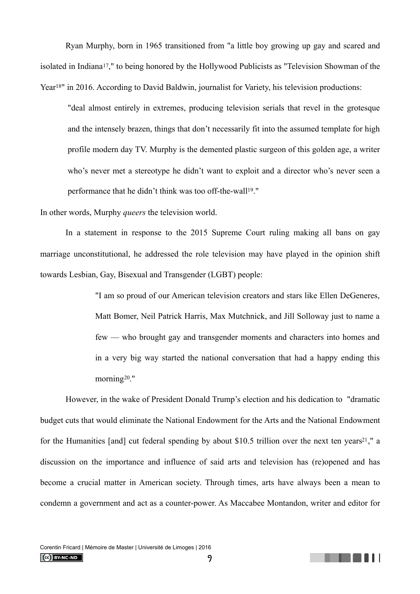Ryan Murphy, born in 1965 transitioned from "a little boy growing up gay and scared and isolated in Indiana[17,](#page-55-17)" to being honored by the Hollywood Publicists as "Television Showman of the Year<sup>[18](#page-55-18)"</sup> in 2016. According to David Baldwin, journalist for Variety, his television productions:

<span id="page-8-1"></span><span id="page-8-0"></span>"deal almost entirely in extremes, producing television serials that revel in the grotesque and the intensely brazen, things that don't necessarily fit into the assumed template for high profile modern day TV. Murphy is the demented plastic surgeon of this golden age, a writer who's never met a stereotype he didn't want to exploit and a director who's never seen a performance that he didn't think was too off-the-wall<sup>[19](#page-55-19)</sup>."

In other words, Murphy *queers* the television world.

 In a statement in response to the 2015 Supreme Court ruling making all bans on gay marriage unconstitutional, he addressed the role television may have played in the opinion shift towards Lesbian, Gay, Bisexual and Transgender (LGBT) people:

> <span id="page-8-3"></span><span id="page-8-2"></span>"I am so proud of our American television creators and stars like Ellen DeGeneres, Matt Bomer, Neil Patrick Harris, Max Mutchnick, and Jill Solloway just to name a few — who brought gay and transgender moments and characters into homes and in a very big way started the national conversation that had a happy ending this morning $20$ [.](#page-56-0)"

 However, in the wake of President Donald Trump's election and his dedication to "dramatic budget cuts that would eliminate the National Endowment for the Arts and the National Endowment for the Humanities [and] cut federal spending by about \$10.5 trillion over the next ten years<sup>[21](#page-56-1)</sup>," a discussion on the importance and influence of said arts and television has (re)opened and has become a crucial matter in American society. Through times, arts have always been a mean to condemn a government and act as a counter-power. As Maccabee Montandon, writer and editor for

<span id="page-8-4"></span>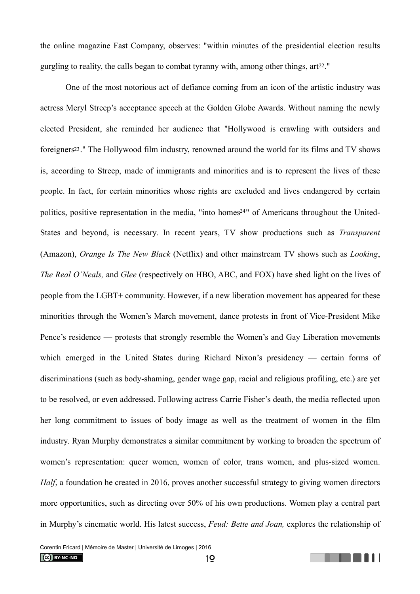<span id="page-9-0"></span>the online magazine Fast Company, observes: "within minutes of the presidential election results gurgling to reality, the calls began to combat tyranny with, among other things, art<sup>22</sup>."

<span id="page-9-2"></span><span id="page-9-1"></span> One of the most notorious act of defiance coming from an icon of the artistic industry was actress Meryl Streep's acceptance speech at the Golden Globe Awards. Without naming the newly elected President, she reminded her audience that "Hollywood is crawling with outsiders and foreigner[s23](#page-56-3)." The Hollywood film industry, renowned around the world for its films and TV shows is, according to Streep, made of immigrants and minorities and is to represent the lives of these people. In fact, for certain minorities whose rights are excluded and lives endangered by certain politics, positive representation in the media, "into homes<sup>[24](#page-56-4)</sup>" of Americans throughout the United-States and beyond, is necessary. In recent years, TV show productions such as *Transparent* (Amazon), *Orange Is The New Black* (Netflix) and other mainstream TV shows such as *Looking*, *The Real O'Neals,* and *Glee* (respectively on HBO, ABC, and FOX) have shed light on the lives of people from the LGBT+ community. However, if a new liberation movement has appeared for these minorities through the Women's March movement, dance protests in front of Vice-President Mike Pence's residence — protests that strongly resemble the Women's and Gay Liberation movements which emerged in the United States during Richard Nixon's presidency — certain forms of discriminations (such as body-shaming, gender wage gap, racial and religious profiling, etc.) are yet to be resolved, or even addressed. Following actress Carrie Fisher's death, the media reflected upon her long commitment to issues of body image as well as the treatment of women in the film industry. Ryan Murphy demonstrates a similar commitment by working to broaden the spectrum of women's representation: queer women, women of color, trans women, and plus-sized women. *Half*, a foundation he created in 2016, proves another successful strategy to giving women directors more opportunities, such as directing over 50% of his own productions. Women play a central part in Murphy's cinematic world. His latest success, *Feud: Bette and Joan,* explores the relationship of

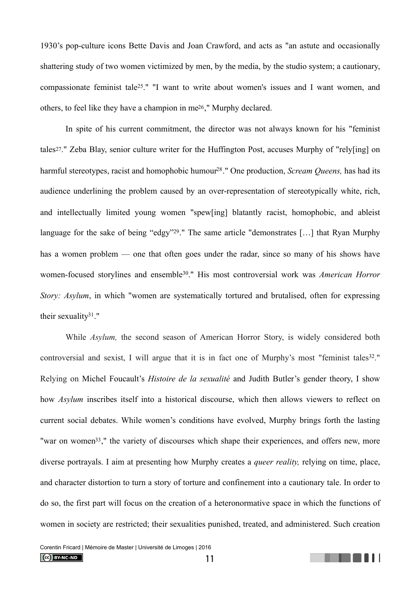<span id="page-10-0"></span>1930's pop-culture icons Bette Davis and Joan Crawford, and acts as "an astute and occasionally shattering study of two women victimized by men, by the media, by the studio system; a cautionary, compassionate feminist tale<sup>25</sup>[.](#page-56-5)" "I want to write about women's issues and I want women, and others, to feel like they have a champion in m[e26](#page-56-6)," Murphy declared.

<span id="page-10-4"></span><span id="page-10-3"></span><span id="page-10-2"></span><span id="page-10-1"></span> In spite of his current commitment, the director was not always known for his "feminist tales[27.](#page-56-7)" Zeba Blay, senior culture writer for the Huffington Post, accuses Murphy of "rely[ing] on harmful stereotypes, racist and homophobic humour<sup>[28](#page-56-8)</sup>." One production, *Scream Queens*, has had its audience underlining the problem caused by an over-representation of stereotypically white, rich, and intellectually limited young women "spew[ing] blatantly racist, homophobic, and ableist language for the sake of being "edgy"<sup>[29](#page-56-9)</sup>." The same article "demonstrates [...] that Ryan Murphy has a women problem — one that often goes under the radar, since so many of his shows have women-focused storylines and ensemble<sup>[30](#page-56-10)</sup>." His most controversial work was *American Horror Story: Asylum*, in which "women are systematically tortured and brutalised, often for expressing their sexuality $31$ ."

<span id="page-10-8"></span><span id="page-10-6"></span><span id="page-10-5"></span> While *Asylum,* the second season of American Horror Story, is widely considered both controversial and sexist, I will argue that it is in fact one of Murphy's most "feminist tales<sup>32</sup>[.](#page-56-12)" Relying on Michel Foucault's *Histoire de la sexualité* and Judith Butler's gender theory, I show how *Asylum* inscribes itself into a historical discourse, which then allows viewers to reflect on current social debates. While women's conditions have evolved, Murphy brings forth the lasting "war on women<sup>[33](#page-56-13)</sup>," the variety of discourses which shape their experiences, and offers new, more diverse portrayals. I aim at presenting how Murphy creates a *queer reality,* relying on time, place, and character distortion to turn a story of torture and confinement into a cautionary tale. In order to do so, the first part will focus on the creation of a heteronormative space in which the functions of women in society are restricted; their sexualities punished, treated, and administered. Such creation

<span id="page-10-7"></span>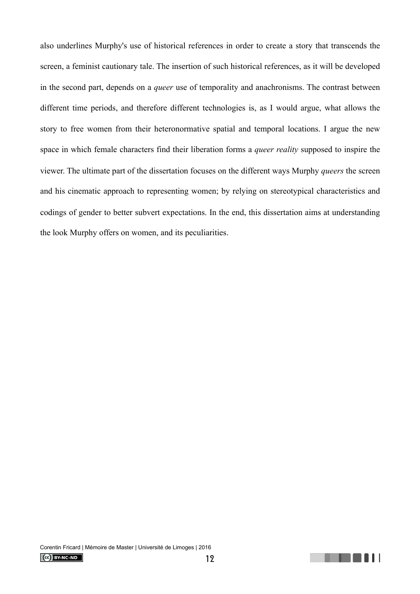also underlines Murphy's use of historical references in order to create a story that transcends the screen, a feminist cautionary tale. The insertion of such historical references, as it will be developed in the second part, depends on a *queer* use of temporality and anachronisms. The contrast between different time periods, and therefore different technologies is, as I would argue, what allows the story to free women from their heteronormative spatial and temporal locations. I argue the new space in which female characters find their liberation forms a *queer reality* supposed to inspire the viewer. The ultimate part of the dissertation focuses on the different ways Murphy *queers* the screen and his cinematic approach to representing women; by relying on stereotypical characteristics and codings of gender to better subvert expectations. In the end, this dissertation aims at understanding the look Murphy offers on women, and its peculiarities.

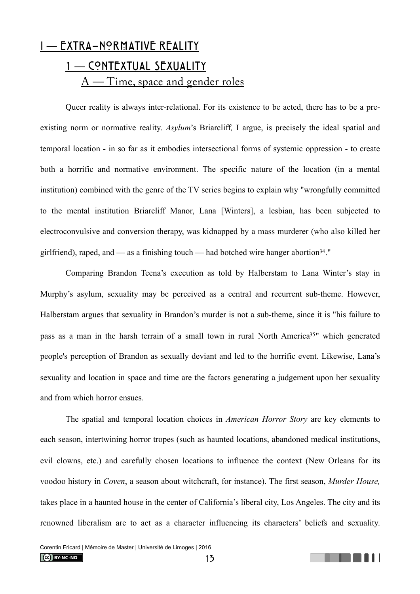# <span id="page-12-1"></span><span id="page-12-0"></span>I **—** Extra**-**Normative Reality 1 — CONTEXTUAL SEXUALITY A — Time, space and gender roles

<span id="page-12-2"></span> Queer reality is always inter-relational. For its existence to be acted, there has to be a preexisting norm or normative reality. *Asylum*'s Briarcliff*,* I argue, is precisely the ideal spatial and temporal location - in so far as it embodies intersectional forms of systemic oppression - to create both a horrific and normative environment. The specific nature of the location (in a mental institution) combined with the genre of the TV series begins to explain why "wrongfully committed to the mental institution Briarcliff Manor, Lana [Winters], a lesbian, has been subjected to electroconvulsive and conversion therapy, was kidnapped by a mass murderer (who also killed her girlfriend), raped, and — as a finishing touch — had botched wire hanger abortion<sup>[34](#page-56-14)</sup>."

<span id="page-12-3"></span> Comparing Brandon Teena's execution as told by Halberstam to Lana Winter's stay in Murphy's asylum, sexuality may be perceived as a central and recurrent sub-theme. However, Halberstam argues that sexuality in Brandon's murder is not a sub-theme, since it is "his failure to pass as a man in the harsh terrain of a small town in rural North America<sup>[35](#page-56-15)</sup> which generated people's perception of Brandon as sexually deviant and led to the horrific event. Likewise, Lana's sexuality and location in space and time are the factors generating a judgement upon her sexuality and from which horror ensues.

 The spatial and temporal location choices in *American Horror Story* are key elements to each season, intertwining horror tropes (such as haunted locations, abandoned medical institutions, evil clowns, etc.) and carefully chosen locations to influence the context (New Orleans for its voodoo history in *Coven*, a season about witchcraft, for instance). The first season, *Murder House,* takes place in a haunted house in the center of California's liberal city, Los Angeles. The city and its renowned liberalism are to act as a character influencing its characters' beliefs and sexuality.

<span id="page-12-4"></span>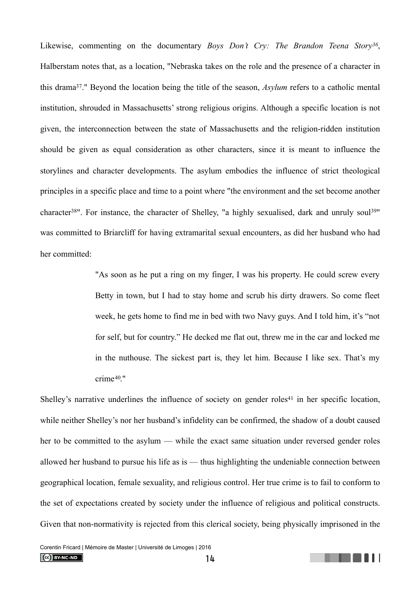<span id="page-13-1"></span><span id="page-13-0"></span>Likewise, commenting on the documentary *Boys Don't Cry: The Brandon Teena Story*<sup>[36](#page-56-16)</sup>, Halberstam notes that, as a location, "Nebraska takes on the role and the presence of a character in this drama<sup>[37](#page-56-17)</sup>." Beyond the location being the title of the season, *Asylum* refers to a catholic mental institution, shrouded in Massachusetts' strong religious origins. Although a specific location is not given, the interconnection between the state of Massachusetts and the religion-ridden institution should be given as equal consideration as other characters, since it is meant to influence the storylines and character developments. The asylum embodies the influence of strict theological principles in a specific place and time to a point where "the environment and the set become another character<sup>38["](#page-57-1)</sup>. For instance, the character of Shelley, "a highly sexualised, dark and unruly soul<sup>39"</sup> was committed to Briarcliff for having extramarital sexual encounters, as did her husband who had her committed:

> <span id="page-13-3"></span><span id="page-13-2"></span>"As soon as he put a ring on my finger, I was his property. He could screw every Betty in town, but I had to stay home and scrub his dirty drawers. So come fleet week, he gets home to find me in bed with two Navy guys. And I told him, it's "not for self, but for country." He decked me flat out, threw me in the car and locked me in the nuthouse. The sickest part is, they let him. Because I like sex. That's my  $crime<sup>40</sup>$  $crime<sup>40</sup>$  $crime<sup>40</sup>$ "

<span id="page-13-4"></span>Shelley'[s](#page-57-3) narrative underlines the influence of society on gender roles<sup> $41$ </sup> in her specific location, while neither Shelley's nor her husband's infidelity can be confirmed, the shadow of a doubt caused her to be committed to the asylum — while the exact same situation under reversed gender roles allowed her husband to pursue his life as is — thus highlighting the undeniable connection between geographical location, female sexuality, and religious control. Her true crime is to fail to conform to the set of expectations created by society under the influence of religious and political constructs. Given that non-normativity is rejected from this clerical society, being physically imprisoned in the

<span id="page-13-5"></span>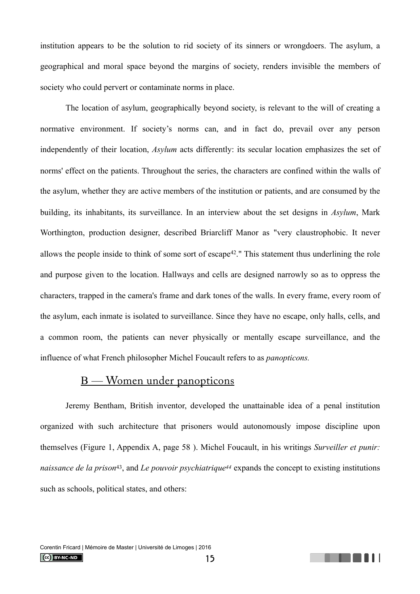institution appears to be the solution to rid society of its sinners or wrongdoers. The asylum, a geographical and moral space beyond the margins of society, renders invisible the members of society who could pervert or contaminate norms in place.

 The location of asylum, geographically beyond society, is relevant to the will of creating a normative environment. If society's norms can, and in fact do, prevail over any person independently of their location, *Asylum* acts differently: its secular location emphasizes the set of norms' effect on the patients. Throughout the series, the characters are confined within the walls of the asylum, whether they are active members of the institution or patients, and are consumed by the building, its inhabitants, its surveillance. In an interview about the set designs in *Asylum*, Mark Worthington, production designer, described Briarcliff Manor as "very claustrophobic. It never allows the people inside to think of some sort of escape<sup>42</sup>[.](#page-57-4)" This statement thus underlining the role and purpose given to the location. Hallways and cells are designed narrowly so as to oppress the characters, trapped in the camera's frame and dark tones of the walls. In every frame, every room of the asylum, each inmate is isolated to surveillance. Since they have no escape, only halls, cells, and a common room, the patients can never physically or mentally escape surveillance, and the influence of what French philosopher Michel Foucault refers to as *panopticons.*

### <span id="page-14-2"></span><span id="page-14-1"></span>B — Women under panopticons

<span id="page-14-0"></span> Jeremy Bentham, British inventor, developed the unattainable idea of a penal institution organized with such architecture that prisoners would autonomously impose discipline upon themselves (Figure 1, Appendix A, page 58 ). Michel Foucault, in his writings *Surveiller et punir: naissance de la prison*[43,](#page-57-5) and *Le pouvoir psychiatriqu[e44](#page-57-6)* expands the concept to existing institutions such as schools, political states, and others:

<span id="page-14-3"></span>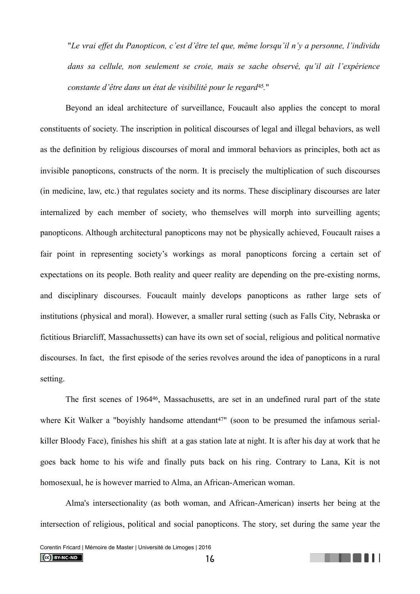<span id="page-15-0"></span>"*Le vrai effet du Panopticon, c'est d'être tel que, même lorsqu'il n'y a personne, l'individu dans sa cellule, non seulement se croie, mais se sache observé, qu'il ait l'expérience constante d'être dans un état de visibilité pour le regard<sup>[45](#page-57-7)</sup>.*"

 Beyond an ideal architecture of surveillance, Foucault also applies the concept to moral constituents of society. The inscription in political discourses of legal and illegal behaviors, as well as the definition by religious discourses of moral and immoral behaviors as principles, both act as invisible panopticons, constructs of the norm. It is precisely the multiplication of such discourses (in medicine, law, etc.) that regulates society and its norms. These disciplinary discourses are later internalized by each member of society, who themselves will morph into surveilling agents; panopticons. Although architectural panopticons may not be physically achieved, Foucault raises a fair point in representing society's workings as moral panopticons forcing a certain set of expectations on its people. Both reality and queer reality are depending on the pre-existing norms, and disciplinary discourses. Foucault mainly develops panopticons as rather large sets of institutions (physical and moral). However, a smaller rural setting (such as Falls City, Nebraska or fictitious Briarcliff, Massachussetts) can have its own set of social, religious and political normative discourses. In fact, the first episode of the series revolves around the idea of panopticons in a rural setting.

<span id="page-15-1"></span>The first scenes of 1964<sup>[46](#page-57-8)</sup>, Massachusetts, are set in an undefined rural part of the state where Kit Walker a "boyishly handsome attendant<sup>[47](#page-57-9)</sup>" (soon to be presumed the infamous serialkiller Bloody Face), finishes his shift at a gas station late at night. It is after his day at work that he goes back home to his wife and finally puts back on his ring. Contrary to Lana, Kit is not homosexual, he is however married to Alma, an African-American woman.

 Alma's intersectionality (as both woman, and African-American) inserts her being at the intersection of religious, political and social panopticons. The story, set during the same year the

<span id="page-15-2"></span>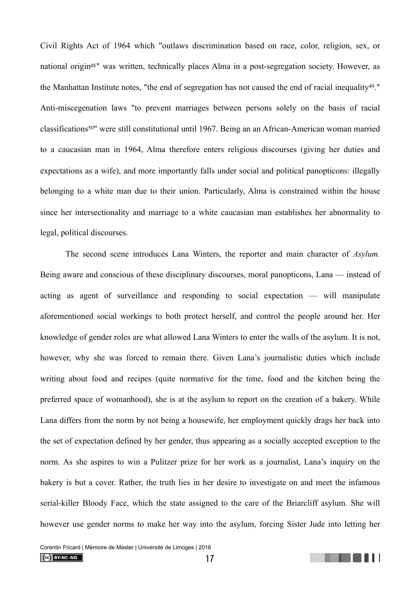<span id="page-16-2"></span><span id="page-16-1"></span><span id="page-16-0"></span>Civil Rights Act of 1964 which "outlaws discrimination based on race, color, religion, sex, or national origi[n48](#page-57-10)" was written, technically places Alma in a post-segregation society. However, as the Manhattan Institute notes, "the end of segregation has not caused the end of racial inequality  $49$ [.](#page-57-11)" Anti-miscegenation laws "to prevent marriages between persons solely on the basis of racial classifications<sup>50["](#page-57-12)</sup> were still constitutional until 1967. Being an an African-American woman married to a caucasian man in 1964, Alma therefore enters religious discourses (giving her duties and expectations as a wife), and more importantly falls under social and political panopticons: illegally belonging to a white man due to their union. Particularly, Alma is constrained within the house since her intersectionality and marriage to a white caucasian man establishes her abnormality to legal, political discourses.

 The second scene introduces Lana Winters, the reporter and main character of *Asylum.*  Being aware and conscious of these disciplinary discourses, moral panopticons, Lana — instead of acting as agent of surveillance and responding to social expectation — will manipulate aforementioned social workings to both protect herself, and control the people around her. Her knowledge of gender roles are what allowed Lana Winters to enter the walls of the asylum. It is not, however, why she was forced to remain there. Given Lana's journalistic duties which include writing about food and recipes (quite normative for the time, food and the kitchen being the preferred space of womanhood), she is at the asylum to report on the creation of a bakery. While Lana differs from the norm by not being a housewife, her employment quickly drags her back into the set of expectation defined by her gender, thus appearing as a socially accepted exception to the norm. As she aspires to win a Pulitzer prize for her work as a journalist, Lana's inquiry on the bakery is but a cover. Rather, the truth lies in her desire to investigate on and meet the infamous serial-killer Bloody Face, which the state assigned to the care of the Briarcliff asylum. She will however use gender norms to make her way into the asylum, forcing Sister Jude into letting her

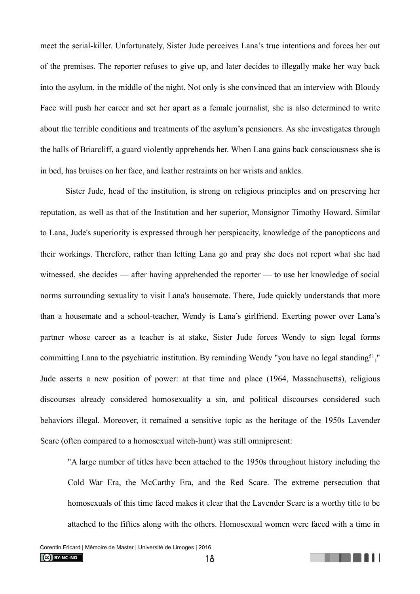meet the serial-killer. Unfortunately, Sister Jude perceives Lana's true intentions and forces her out of the premises. The reporter refuses to give up, and later decides to illegally make her way back into the asylum, in the middle of the night. Not only is she convinced that an interview with Bloody Face will push her career and set her apart as a female journalist, she is also determined to write about the terrible conditions and treatments of the asylum's pensioners. As she investigates through the halls of Briarcliff, a guard violently apprehends her. When Lana gains back consciousness she is in bed, has bruises on her face, and leather restraints on her wrists and ankles.

 Sister Jude, head of the institution, is strong on religious principles and on preserving her reputation, as well as that of the Institution and her superior, Monsignor Timothy Howard. Similar to Lana, Jude's superiority is expressed through her perspicacity, knowledge of the panopticons and their workings. Therefore, rather than letting Lana go and pray she does not report what she had witnessed, she decides — after having apprehended the reporter — to use her knowledge of social norms surrounding sexuality to visit Lana's housemate. There, Jude quickly understands that more than a housemate and a school-teacher, Wendy is Lana's girlfriend. Exerting power over Lana's partner whose career as a teacher is at stake, Sister Jude forces Wendy to sign legal forms committing Lana to the psychiatric institution. By reminding Wendy "you have no legal standing<sup>51</sup>[,](#page-57-13)" Jude asserts a new position of power: at that time and place (1964, Massachusetts), religious discourses already considered homosexuality a sin, and political discourses considered such behaviors illegal. Moreover, it remained a sensitive topic as the heritage of the 1950s Lavender Scare (often compared to a homosexual witch-hunt) was still omnipresent:

"A large number of titles have been attached to the 1950s throughout history including the Cold War Era, the McCarthy Era, and the Red Scare. The extreme persecution that homosexuals of this time faced makes it clear that the Lavender Scare is a worthy title to be attached to the fifties along with the others. Homosexual women were faced with a time in

<span id="page-17-0"></span>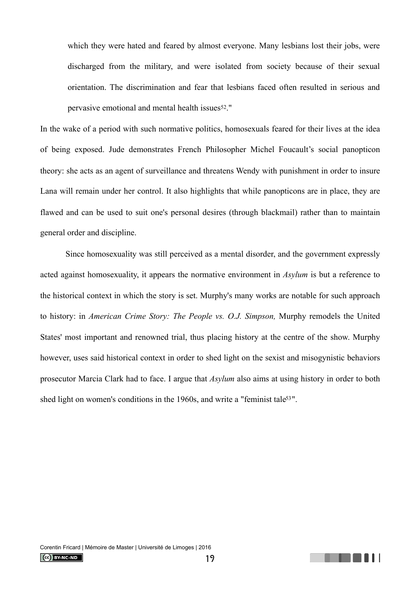<span id="page-18-0"></span>which they were hated and feared by almost everyone. Many lesbians lost their jobs, were discharged from the military, and were isolated from society because of their sexual orientation. The discrimination and fear that lesbians faced often resulted in serious and pervasive emotional and mental health issues[52.](#page-57-14)"

In the wake of a period with such normative politics, homosexuals feared for their lives at the idea of being exposed. Jude demonstrates French Philosopher Michel Foucault's social panopticon theory: she acts as an agent of surveillance and threatens Wendy with punishment in order to insure Lana will remain under her control. It also highlights that while panopticons are in place, they are flawed and can be used to suit one's personal desires (through blackmail) rather than to maintain general order and discipline.

Since homosexuality was still perceived as a mental disorder, and the government expressly acted against homosexuality, it appears the normative environment in *Asylum* is but a reference to the historical context in which the story is set. Murphy's many works are notable for such approach to history: in *American Crime Story: The People vs. O.J. Simpson,* Murphy remodels the United States' most important and renowned trial, thus placing history at the centre of the show. Murphy however, uses said historical context in order to shed light on the sexist and misogynistic behaviors prosecutor Marcia Clark had to face. I argue that *Asylum* also aims at using history in order to both shed light on women's conditions in the  $1960s$ , and write a "feminist tale<sup>[53](#page-57-15)"</sup>.

<span id="page-18-1"></span>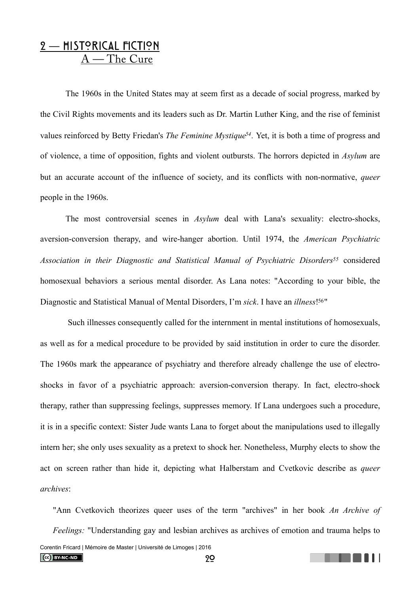## <span id="page-19-1"></span><span id="page-19-0"></span>2 - HISTORICAL FICTION A — The Cure

<span id="page-19-2"></span> The 1960s in the United States may at seem first as a decade of social progress, marked by the Civil Rights movements and its leaders such as Dr. Martin Luther King, and the rise of feminist values reinforced by Betty Friedan's *The Feminine Mystique*<sup>[54](#page-58-0)</sup>. Yet, it is both a time of progress and of violence, a time of opposition, fights and violent outbursts. The horrors depicted in *Asylum* are but an accurate account of the influence of society, and its conflicts with non-normative, *queer* people in the 1960s.

<span id="page-19-3"></span> The most controversial scenes in *Asylum* deal with Lana's sexuality: electro-shocks, aversion-conversion therapy, and wire-hanger abortion. Until 1974, the *American Psychiatric Association in their Diagnostic and Statistical Manual of Psychiatric Disorders<sup>[55](#page-58-1)</sup>* considered homosexual behaviors a serious mental disorder. As Lana notes: "According to your bible, the Diagnostic and Statistical Manual of Mental Disorders, I'm *sick*. I have an *illness*!<sup>[56](#page-58-2)"</sup>

<span id="page-19-4"></span> Such illnesses consequently called for the internment in mental institutions of homosexuals, as well as for a medical procedure to be provided by said institution in order to cure the disorder. The 1960s mark the appearance of psychiatry and therefore already challenge the use of electroshocks in favor of a psychiatric approach: aversion-conversion therapy. In fact, electro-shock therapy, rather than suppressing feelings, suppresses memory. If Lana undergoes such a procedure, it is in a specific context: Sister Jude wants Lana to forget about the manipulations used to illegally intern her; she only uses sexuality as a pretext to shock her. Nonetheless, Murphy elects to show the act on screen rather than hide it, depicting what Halberstam and Cvetkovic describe as *queer archives*:

"Ann Cvetkovich theorizes queer uses of the term "archives" in her book *An Archive of Feelings:* "Understanding gay and lesbian archives as archives of emotion and trauma helps to Corentin Fricard | Mémoire de Master | Université de Limoges | 2016  $\left(\text{cc}\right)$  BY-NC-ND 20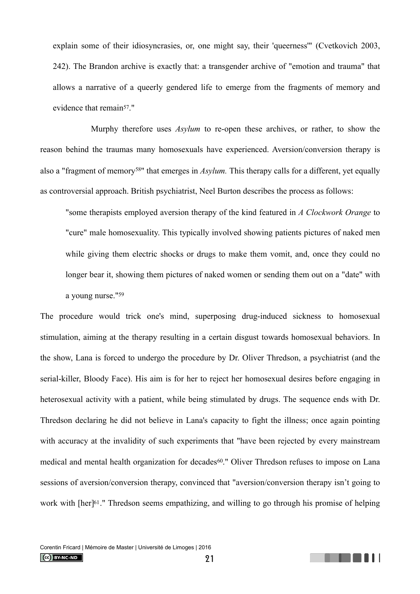explain some of their idiosyncrasies, or, one might say, their 'queerness'" (Cvetkovich 2003, 242). The Brandon archive is exactly that: a transgender archive of "emotion and trauma" that allows a narrative of a queerly gendered life to emerge from the fragments of memory and evidence that remain<sup>57</sup>."

<span id="page-20-0"></span> Murphy therefore uses *Asylum* to re-open these archives, or rather, to show the reason behind the traumas many homosexuals have experienced. Aversion/conversion therapy is also a "fragment of memory<sup>[58](#page-58-4)"</sup> that emerges in *Asylum*. This therapy calls for a different, yet equally as controversial approach. British psychiatrist, Neel Burton describes the process as follows:

<span id="page-20-1"></span>"some therapists employed aversion therapy of the kind featured in *A Clockwork Orange* to "cure" male homosexuality. This typically involved showing patients pictures of naked men while giving them electric shocks or [drugs](http://www.psychologytoday.com/basics/psychopharmacology) to make them vomit, and, once they could no longer bear it, showing them pictures of naked women or sending them out on a "date" with a young nurse.["59](#page-58-5)

<span id="page-20-4"></span><span id="page-20-2"></span>The procedure would trick one's mind, superposing drug-induced sickness to homosexual stimulation, aiming at the therapy resulting in a certain disgust towards homosexual behaviors. In the show, Lana is forced to undergo the procedure by Dr. Oliver Thredson, a psychiatrist (and the serial-killer, Bloody Face). His aim is for her to reject her homosexual desires before engaging in heterosexual activity with a patient, while being stimulated by drugs. The sequence ends with Dr. Thredson declaring he did not believe in Lana's capacity to fight the illness; once again pointing with accuracy at the invalidity of such experiments that "have been rejected by every mainstream medical and mental health organization for decades<sup>60</sup>[.](#page-58-6)" Oliver Thredson refuses to impose on Lana sessions of aversion/conversion therapy, convinced that "aversion/conversion therapy isn't going to work with [her]<sup>61</sup>." Thredson seems empathizing, and willing to go through his promise of helping

<span id="page-20-3"></span>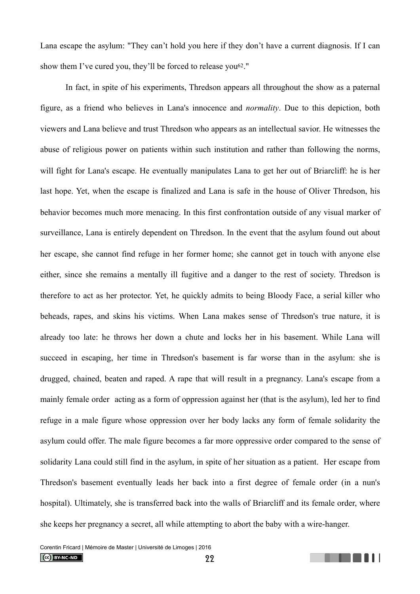<span id="page-21-0"></span>Lana escape the asylum: "They can't hold you here if they don't have a current diagnosis. If I can show them I've cured you, they'll be forced to release you<sup>62</sup>."

 In fact, in spite of his experiments, Thredson appears all throughout the show as a paternal figure, as a friend who believes in Lana's innocence and *normality*. Due to this depiction, both viewers and Lana believe and trust Thredson who appears as an intellectual savior. He witnesses the abuse of religious power on patients within such institution and rather than following the norms, will fight for Lana's escape. He eventually manipulates Lana to get her out of Briarcliff: he is her last hope. Yet, when the escape is finalized and Lana is safe in the house of Oliver Thredson, his behavior becomes much more menacing. In this first confrontation outside of any visual marker of surveillance, Lana is entirely dependent on Thredson. In the event that the asylum found out about her escape, she cannot find refuge in her former home; she cannot get in touch with anyone else either, since she remains a mentally ill fugitive and a danger to the rest of society. Thredson is therefore to act as her protector. Yet, he quickly admits to being Bloody Face, a serial killer who beheads, rapes, and skins his victims. When Lana makes sense of Thredson's true nature, it is already too late: he throws her down a chute and locks her in his basement. While Lana will succeed in escaping, her time in Thredson's basement is far worse than in the asylum: she is drugged, chained, beaten and raped. A rape that will result in a pregnancy. Lana's escape from a mainly female order acting as a form of oppression against her (that is the asylum), led her to find refuge in a male figure whose oppression over her body lacks any form of female solidarity the asylum could offer. The male figure becomes a far more oppressive order compared to the sense of solidarity Lana could still find in the asylum, in spite of her situation as a patient. Her escape from Thredson's basement eventually leads her back into a first degree of female order (in a nun's hospital). Ultimately, she is transferred back into the walls of Briarcliff and its female order, where she keeps her pregnancy a secret, all while attempting to abort the baby with a wire-hanger.

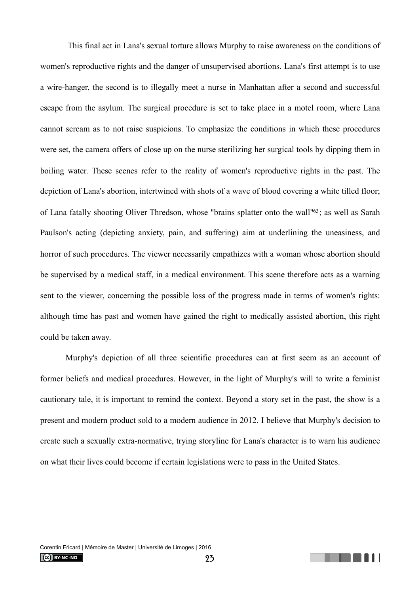This final act in Lana's sexual torture allows Murphy to raise awareness on the conditions of women's reproductive rights and the danger of unsupervised abortions. Lana's first attempt is to use a wire-hanger, the second is to illegally meet a nurse in Manhattan after a second and successful escape from the asylum. The surgical procedure is set to take place in a motel room, where Lana cannot scream as to not raise suspicions. To emphasize the conditions in which these procedures were set, the camera offers of close up on the nurse sterilizing her surgical tools by dipping them in boiling water. These scenes refer to the reality of women's reproductive rights in the past. The depiction of Lana's abortion, intertwined with shots of a wave of blood covering a white tilled floor; of Lana fatally shooting Oliver Thredson, whose "brains splatter onto the wall"<sup>[63](#page-58-9)</sup>; as well as Sarah Paulson's acting (depicting anxiety, pain, and suffering) aim at underlining the uneasiness, and horror of such procedures. The viewer necessarily empathizes with a woman whose abortion should be supervised by a medical staff, in a medical environment. This scene therefore acts as a warning sent to the viewer, concerning the possible loss of the progress made in terms of women's rights: although time has past and women have gained the right to medically assisted abortion, this right could be taken away.

<span id="page-22-0"></span> Murphy's depiction of all three scientific procedures can at first seem as an account of former beliefs and medical procedures. However, in the light of Murphy's will to write a feminist cautionary tale, it is important to remind the context. Beyond a story set in the past, the show is a present and modern product sold to a modern audience in 2012. I believe that Murphy's decision to create such a sexually extra-normative, trying storyline for Lana's character is to warn his audience on what their lives could become if certain legislations were to pass in the United States.

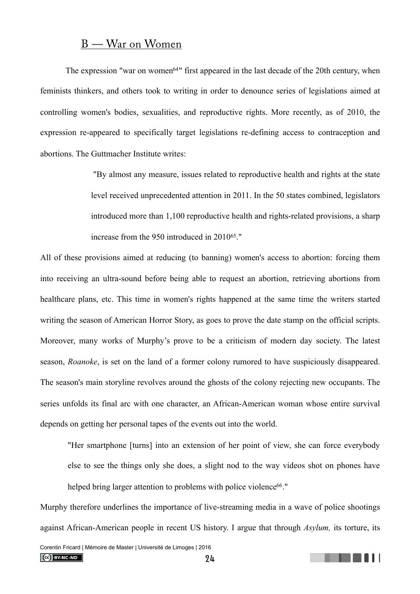### <span id="page-23-1"></span>B — War on Women

<span id="page-23-0"></span>The expression "war on women<sup> $64$ </sup>" first appeared in the last decade of the 20th century, when feminists thinkers, and others took to writing in order to denounce series of legislations aimed at controlling women's bodies, sexualities, and reproductive rights. More recently, as of 2010, the expression re-appeared to specifically target legislations re-defining access to contraception and abortions. The Guttmacher Institute writes:

> <span id="page-23-2"></span>"By almost any measure, issues related to reproductive health and rights at the state level received unprecedented attention in 2011. In the 50 states combined, legislators introduced more than 1,100 reproductive health and rights-related provisions, a sharp increase from the  $950$  introduced in  $2010^{65}$  $2010^{65}$  $2010^{65}$ [.](#page-58-11)"

All of these provisions aimed at reducing (to banning) women's access to abortion: forcing them into receiving an ultra-sound before being able to request an abortion, retrieving abortions from healthcare plans, etc. This time in women's rights happened at the same time the writers started writing the season of American Horror Story, as goes to prove the date stamp on the official scripts. Moreover, many works of Murphy's prove to be a criticism of modern day society. The latest season, *Roanoke*, is set on the land of a former colony rumored to have suspiciously disappeared. The season's main storyline revolves around the ghosts of the colony rejecting new occupants. The series unfolds its final arc with one character, an African-American woman whose entire survival depends on getting her personal tapes of the events out into the world.

"Her smartphone [turns] into an extension of her point of view, she can force everybody else to see the things only she does, a slight nod to the way videos shot on phones have helped bring larger attention to problems with police violence<sup>[66](#page-58-12)</sup>."

Murphy therefore underlines the importance of live-streaming media in a wave of police shootings against African-American people in recent US history. I argue that through *Asylum,* its torture, its

 $\left(\text{cc}\right)$  BY-NC-ND

<span id="page-23-3"></span>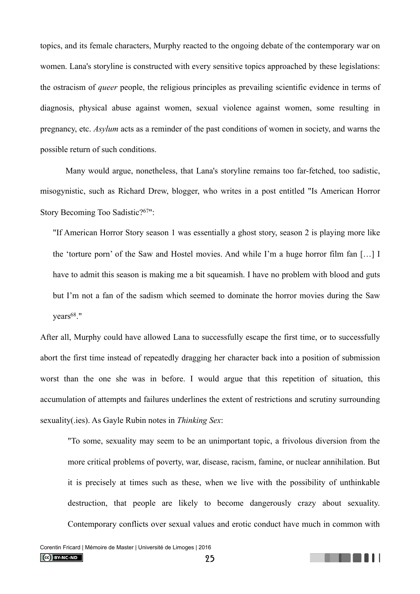topics, and its female characters, Murphy reacted to the ongoing debate of the contemporary war on women. Lana's storyline is constructed with every sensitive topics approached by these legislations: the ostracism of *queer* people, the religious principles as prevailing scientific evidence in terms of diagnosis, physical abuse against women, sexual violence against women, some resulting in pregnancy, etc. *Asylum* acts as a reminder of the past conditions of women in society, and warns the possible return of such conditions.

 Many would argue, nonetheless, that Lana's storyline remains too far-fetched, too sadistic, misogynistic, such as Richard Drew, blogger, who writes in a post entitled "Is American Horror Story Becoming Too Sadistic?<sup>67["](#page-58-13)</sup>:

<span id="page-24-0"></span>"If American Horror Story season 1 was essentially a ghost story, season 2 is playing more like the 'torture porn' of the Saw and Hostel movies. And while I'm a huge horror film fan […] I have to admit this season is making me a bit squeamish. I have no problem with blood and guts but I'm not a fan of the sadism which seemed to dominate the horror movies during the Saw years<sup>[68](#page-58-14)</sup>."

<span id="page-24-1"></span>After all, Murphy could have allowed Lana to successfully escape the first time, or to successfully abort the first time instead of repeatedly dragging her character back into a position of submission worst than the one she was in before. I would argue that this repetition of situation, this accumulation of attempts and failures underlines the extent of restrictions and scrutiny surrounding sexuality(.ies). As Gayle Rubin notes in *Thinking Sex*:

"To some, sexuality may seem to be an unimportant topic, a frivolous diversion from the more critical problems of poverty, war, disease, racism, famine, or nuclear annihilation. But it is precisely at times such as these, when we live with the possibility of unthinkable destruction, that people are likely to become dangerously crazy about sexuality. Contemporary conflicts over sexual values and erotic conduct have much in common with

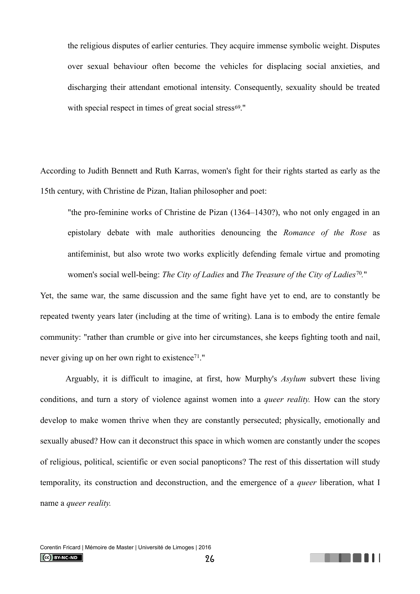<span id="page-25-0"></span>the religious disputes of earlier centuries. They acquire immense symbolic weight. Disputes over sexual behaviour often become the vehicles for displacing social anxieties, and discharging their attendant emotional intensity. Consequently, sexuality should be treated with special respect in times of great social stress<sup>69</sup>."

According to Judith Bennett and Ruth Karras, women's fight for their rights started as early as the 15th century, with Christine de Pizan, Italian philosopher and poet:

"the pro-feminine works of Christine de Pizan (1364–1430?), who not only engaged in an epistolary debate with male authorities denouncing the *Romance of the Rose* as antifeminist, but also wrote two works explicitly defending female virtue and promoting women's social well-being: *The City of Ladies* and *The Treasure of the City of Ladies*<sup>[70](#page-58-16)</sup>."

Yet, the same war, the same discussion and the same fight have yet to end, are to constantly be repeated twenty years later (including at the time of writing). Lana is to embody the entire female community: "rather than crumble or give into her circumstances, she keeps fighting tooth and nail, never giving up on her own right to existence<sup> $71$ </sup>[.](#page-58-17)"

<span id="page-25-2"></span> Arguably, it is difficult to imagine, at first, how Murphy's *Asylum* subvert these living conditions, and turn a story of violence against women into a *queer reality.* How can the story develop to make women thrive when they are constantly persecuted; physically, emotionally and sexually abused? How can it deconstruct this space in which women are constantly under the scopes of religious, political, scientific or even social panopticons? The rest of this dissertation will study temporality, its construction and deconstruction, and the emergence of a *queer* liberation, what I name a *queer reality.*

<span id="page-25-1"></span>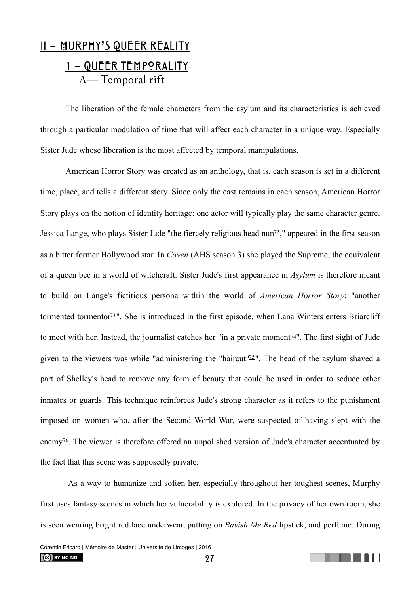# <span id="page-26-1"></span><span id="page-26-0"></span>II **-** Murphy**'**s Queer Reality 1 - QUEER TEMPORALITY A— Temporal rift

<span id="page-26-2"></span> The liberation of the female characters from the asylum and its characteristics is achieved through a particular modulation of time that will affect each character in a unique way. Especially Sister Jude whose liberation is the most affected by temporal manipulations.

<span id="page-26-4"></span><span id="page-26-3"></span> American Horror Story was created as an anthology, that is, each season is set in a different time, place, and tells a different story. Since only the cast remains in each season, American Horror Story plays on the notion of identity heritage: one actor will typically play the same character genre. Jessica Lange, who plays Sister Jude "the fiercely religious head  $\text{num}^{72}$  $\text{num}^{72}$  $\text{num}^{72}$ ," appeared in the first season as a bitter former Hollywood star. In *Coven* (AHS season 3) she played the Supreme, the equivalent of a queen bee in a world of witchcraft. Sister Jude's first appearance in *Asylum* is therefore meant to build on Lange's fictitious persona within the world of *American Horror Story*: "another tormented tormentor<sup>[73](#page-58-19)</sup>". She is introduced in the first episode, when Lana Winters enters Briarcliff to meet with her. Instead, the journalist catches her "in a private momen[t74](#page-58-20)". The first sight of Jude given to the viewers was while "administering the "haircut"<sup>[75](#page-59-0)"</sup>. The head of the asylum shaved a part of Shelley's head to remove any form of beauty that could be used in order to seduce other inmates or guards. This technique reinforces Jude's strong character as it refers to the punishment imposed on women who, after the Second World War, were suspected of having slept with the enemy<sup>76</sup>[.](#page-59-1) The viewer is therefore offered an unpolished version of Jude's character accentuated by the fact that this scene was supposedly private.

<span id="page-26-7"></span> As a way to humanize and soften her, especially throughout her toughest scenes, Murphy first uses fantasy scenes in which her vulnerability is explored. In the privacy of her own room, she is seen wearing bright red lace underwear, putting on *Ravish Me Red* lipstick, and perfume. During

<span id="page-26-6"></span><span id="page-26-5"></span>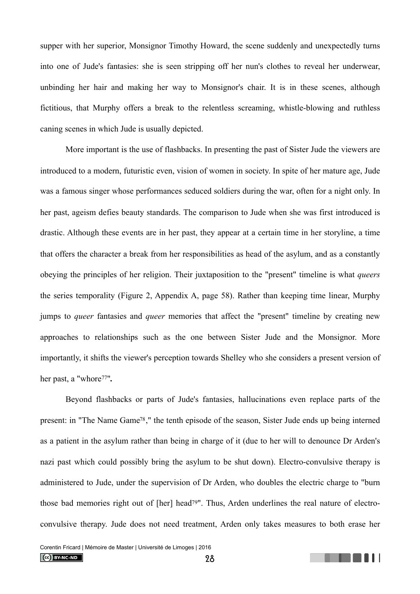supper with her superior, Monsignor Timothy Howard, the scene suddenly and unexpectedly turns into one of Jude's fantasies: she is seen stripping off her nun's clothes to reveal her underwear, unbinding her hair and making her way to Monsignor's chair. It is in these scenes, although fictitious, that Murphy offers a break to the relentless screaming, whistle-blowing and ruthless caning scenes in which Jude is usually depicted.

 More important is the use of flashbacks. In presenting the past of Sister Jude the viewers are introduced to a modern, futuristic even, vision of women in society. In spite of her mature age, Jude was a famous singer whose performances seduced soldiers during the war, often for a night only. In her past, ageism defies beauty standards. The comparison to Jude when she was first introduced is drastic. Although these events are in her past, they appear at a certain time in her storyline, a time that offers the character a break from her responsibilities as head of the asylum, and as a constantly obeying the principles of her religion. Their juxtaposition to the "present" timeline is what *queers* the series temporality (Figure 2, Appendix A, page 58). Rather than keeping time linear, Murphy jumps to *queer* fantasies and *queer* memories that affect the "present" timeline by creating new approaches to relationships such as the one between Sister Jude and the Monsignor. More importantly, it shifts the viewer's perception towards Shelley who she considers a present version of her past, a "whore<sup>[77](#page-59-2)</sup>".

<span id="page-27-2"></span><span id="page-27-1"></span><span id="page-27-0"></span> Beyond flashbacks or parts of Jude's fantasies, hallucinations even replace parts of the present: in "The Name Game<sup>[78](#page-59-3)</sup>," the tenth episode of the season, Sister Jude ends up being interned as a patient in the asylum rather than being in charge of it (due to her will to denounce Dr Arden's nazi past which could possibly bring the asylum to be shut down). Electro-convulsive therapy is administered to Jude, under the supervision of Dr Arden, who doubles the electric charge to "burn those bad memories right out of [her] hea[d79](#page-59-4)". Thus, Arden underlines the real nature of electroconvulsive therapy. Jude does not need treatment, Arden only takes measures to both erase her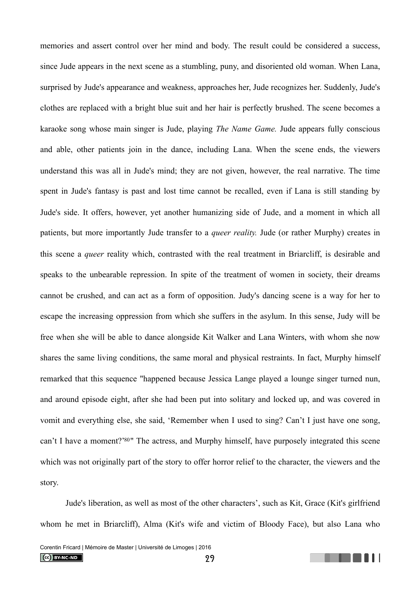memories and assert control over her mind and body. The result could be considered a success, since Jude appears in the next scene as a stumbling, puny, and disoriented old woman. When Lana, surprised by Jude's appearance and weakness, approaches her, Jude recognizes her. Suddenly, Jude's clothes are replaced with a bright blue suit and her hair is perfectly brushed. The scene becomes a karaoke song whose main singer is Jude, playing *The Name Game.* Jude appears fully conscious and able, other patients join in the dance, including Lana. When the scene ends, the viewers understand this was all in Jude's mind; they are not given, however, the real narrative. The time spent in Jude's fantasy is past and lost time cannot be recalled, even if Lana is still standing by Jude's side. It offers, however, yet another humanizing side of Jude, and a moment in which all patients, but more importantly Jude transfer to a *queer reality.* Jude (or rather Murphy) creates in this scene a *queer* reality which, contrasted with the real treatment in Briarcliff, is desirable and speaks to the unbearable repression. In spite of the treatment of women in society, their dreams cannot be crushed, and can act as a form of opposition. Judy's dancing scene is a way for her to escape the increasing oppression from which she suffers in the asylum. In this sense, Judy will be free when she will be able to dance alongside Kit Walker and Lana Winters, with whom she now shares the same living conditions, the same moral and physical restraints. In fact, Murphy himself remarked that this sequence "happened because Jessica Lange played a lounge singer turned nun, and around episode eight, after she had been put into solitary and locked up, and was covered in vomit and everything else, she said, 'Remember when I used to sing? Can't I just have one song, can't I have a moment?'<sup>[80](#page-59-5)</sup>" The actress, and Murphy himself, have purposely integrated this scene which was not originally part of the story to offer horror relief to the character, the viewers and the story.

<span id="page-28-0"></span> Jude's liberation, as well as most of the other characters', such as Kit, Grace (Kit's girlfriend whom he met in Briarcliff), Alma (Kit's wife and victim of Bloody Face), but also Lana who

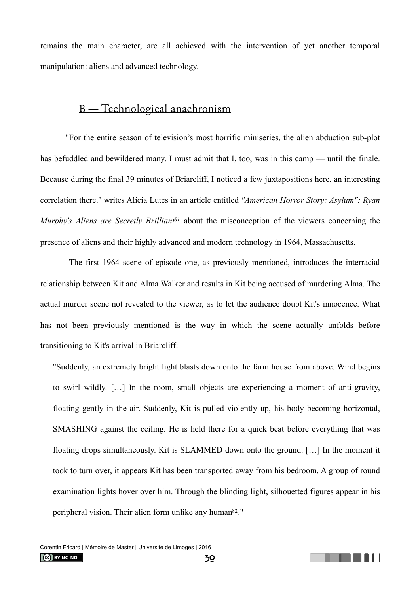remains the main character, are all achieved with the intervention of yet another temporal manipulation: aliens and advanced technology.

### B — Technological anachronism

<span id="page-29-0"></span>"For the entire season of television's most horrific miniseries, the alien abduction sub-plot has befuddled and bewildered many. I must admit that I, too, was in this camp — until the finale. Because during the final 39 minutes of Briarcliff, I noticed a few juxtapositions here, an interesting correlation there." writes Alicia Lutes in an article entitled *"American Horror Story: Asylum": Ryan Murphy's Aliens are Secretly Brilliant<sup>[81](#page-59-6)</sup>* about the misconception of the viewers concerning the presence of aliens and their highly advanced and modern technology in 1964, Massachusetts.

<span id="page-29-1"></span>The first 1964 scene of episode one, as previously mentioned, introduces the interracial relationship between Kit and Alma Walker and results in Kit being accused of murdering Alma. The actual murder scene not revealed to the viewer, as to let the audience doubt Kit's innocence. What has not been previously mentioned is the way in which the scene actually unfolds before transitioning to Kit's arrival in Briarcliff:

"Suddenly, an extremely bright light blasts down onto the farm house from above. Wind begins to swirl wildly. […] In the room, small objects are experiencing a moment of anti-gravity, floating gently in the air. Suddenly, Kit is pulled violently up, his body becoming horizontal, SMASHING against the ceiling. He is held there for a quick beat before everything that was floating drops simultaneously. Kit is SLAMMED down onto the ground. […] In the moment it took to turn over, it appears Kit has been transported away from his bedroom. A group of round examination lights hover over him. Through the blinding light, silhouetted figures appear in his peripheral vision. Their alien form unlike any human<sup>[82](#page-59-7)</sup>."

<span id="page-29-2"></span>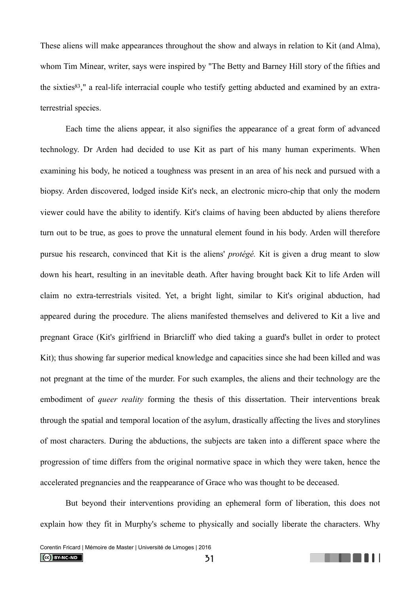<span id="page-30-0"></span>These aliens will make appearances throughout the show and always in relation to Kit (and Alma), whom Tim Minear, writer, says were inspired by "The Betty and Barney Hill story of the fifties and the sixties<sup>[83](#page-59-8)</sup>," a real-life interracial couple who testify getting abducted and examined by an extraterrestrial species.

 Each time the aliens appear, it also signifies the appearance of a great form of advanced technology. Dr Arden had decided to use Kit as part of his many human experiments. When examining his body, he noticed a toughness was present in an area of his neck and pursued with a biopsy. Arden discovered, lodged inside Kit's neck, an electronic micro-chip that only the modern viewer could have the ability to identify. Kit's claims of having been abducted by aliens therefore turn out to be true, as goes to prove the unnatural element found in his body. Arden will therefore pursue his research, convinced that Kit is the aliens' *protégé.* Kit is given a drug meant to slow down his heart, resulting in an inevitable death. After having brought back Kit to life Arden will claim no extra-terrestrials visited. Yet, a bright light, similar to Kit's original abduction, had appeared during the procedure. The aliens manifested themselves and delivered to Kit a live and pregnant Grace (Kit's girlfriend in Briarcliff who died taking a guard's bullet in order to protect Kit); thus showing far superior medical knowledge and capacities since she had been killed and was not pregnant at the time of the murder. For such examples, the aliens and their technology are the embodiment of *queer reality* forming the thesis of this dissertation. Their interventions break through the spatial and temporal location of the asylum, drastically affecting the lives and storylines of most characters. During the abductions, the subjects are taken into a different space where the progression of time differs from the original normative space in which they were taken, hence the accelerated pregnancies and the reappearance of Grace who was thought to be deceased.

 But beyond their interventions providing an ephemeral form of liberation, this does not explain how they fit in Murphy's scheme to physically and socially liberate the characters. Why

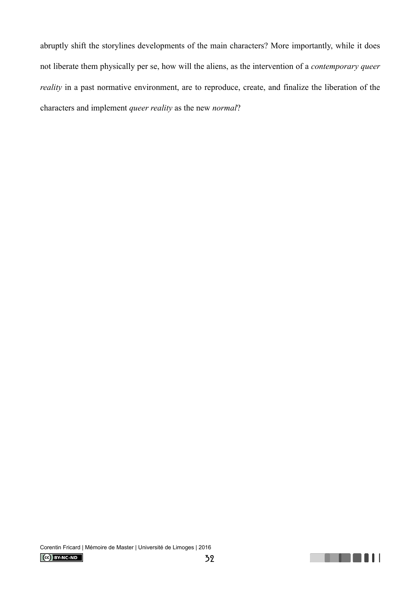abruptly shift the storylines developments of the main characters? More importantly, while it does not liberate them physically per se, how will the aliens, as the intervention of a *contemporary queer reality* in a past normative environment, are to reproduce, create, and finalize the liberation of the characters and implement *queer reality* as the new *normal*?

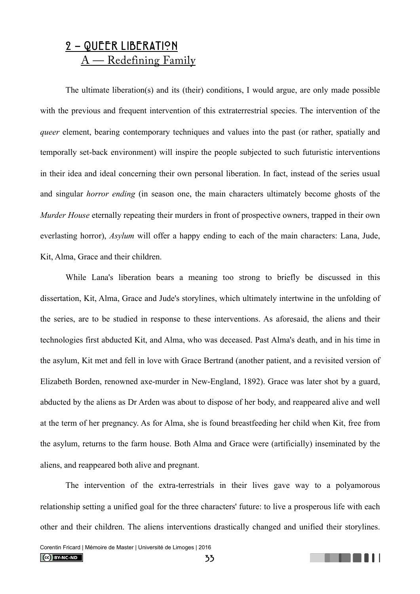## <span id="page-32-0"></span>2 - QUEER LIBERATION A — Redefining Family

<span id="page-32-1"></span> The ultimate liberation(s) and its (their) conditions, I would argue, are only made possible with the previous and frequent intervention of this extraterrestrial species. The intervention of the *queer* element, bearing contemporary techniques and values into the past (or rather, spatially and temporally set-back environment) will inspire the people subjected to such futuristic interventions in their idea and ideal concerning their own personal liberation. In fact, instead of the series usual and singular *horror ending* (in season one, the main characters ultimately become ghosts of the *Murder House* eternally repeating their murders in front of prospective owners, trapped in their own everlasting horror), *Asylum* will offer a happy ending to each of the main characters: Lana, Jude, Kit, Alma, Grace and their children.

 While Lana's liberation bears a meaning too strong to briefly be discussed in this dissertation, Kit, Alma, Grace and Jude's storylines, which ultimately intertwine in the unfolding of the series, are to be studied in response to these interventions. As aforesaid, the aliens and their technologies first abducted Kit, and Alma, who was deceased. Past Alma's death, and in his time in the asylum, Kit met and fell in love with Grace Bertrand (another patient, and a revisited version of Elizabeth Borden, renowned axe-murder in New-England, 1892). Grace was later shot by a guard, abducted by the aliens as Dr Arden was about to dispose of her body, and reappeared alive and well at the term of her pregnancy. As for Alma, she is found breastfeeding her child when Kit, free from the asylum, returns to the farm house. Both Alma and Grace were (artificially) inseminated by the aliens, and reappeared both alive and pregnant.

 The intervention of the extra-terrestrials in their lives gave way to a polyamorous relationship setting a unified goal for the three characters' future: to live a prosperous life with each other and their children. The aliens interventions drastically changed and unified their storylines.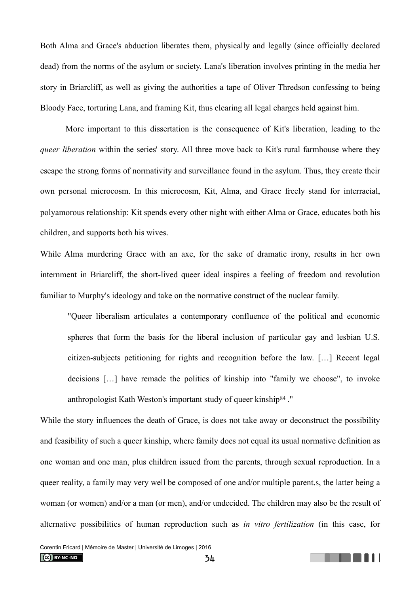Both Alma and Grace's abduction liberates them, physically and legally (since officially declared dead) from the norms of the asylum or society. Lana's liberation involves printing in the media her story in Briarcliff, as well as giving the authorities a tape of Oliver Thredson confessing to being Bloody Face, torturing Lana, and framing Kit, thus clearing all legal charges held against him.

 More important to this dissertation is the consequence of Kit's liberation, leading to the *queer liberation* within the series' story. All three move back to Kit's rural farmhouse where they escape the strong forms of normativity and surveillance found in the asylum. Thus, they create their own personal microcosm. In this microcosm, Kit, Alma, and Grace freely stand for interracial, polyamorous relationship: Kit spends every other night with either Alma or Grace, educates both his children, and supports both his wives.

While Alma murdering Grace with an axe, for the sake of dramatic irony, results in her own internment in Briarcliff, the short-lived queer ideal inspires a feeling of freedom and revolution familiar to Murphy's ideology and take on the normative construct of the nuclear family.

<span id="page-33-0"></span>"Queer liberalism articulates a contemporary confluence of the political and economic spheres that form the basis for the liberal inclusion of particular gay and lesbian U.S. citizen-subjects petitioning for rights and recognition before the law. […] Recent legal decisions […] have remade the politics of kinship into "family we choose", to invoke anthropologistKath Weston's important study of queer kinship  $84$ ."

While the story influences the death of Grace, is does not take away or deconstruct the possibility and feasibility of such a queer kinship, where family does not equal its usual normative definition as one woman and one man, plus children issued from the parents, through sexual reproduction. In a queer reality, a family may very well be composed of one and/or multiple parent.s, the latter being a woman (or women) and/or a man (or men), and/or undecided. The children may also be the result of alternative possibilities of human reproduction such as *in vitro fertilization* (in this case, for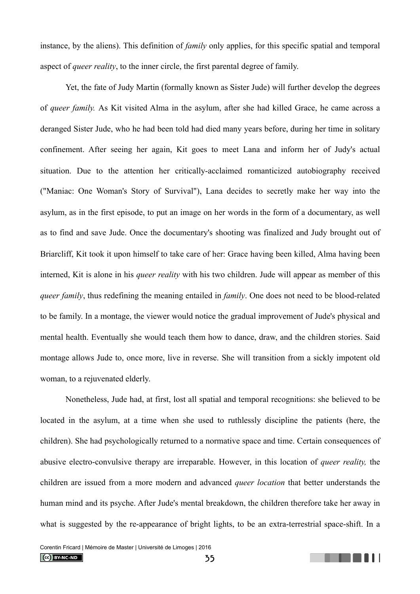instance, by the aliens). This definition of *family* only applies, for this specific spatial and temporal aspect of *queer reality*, to the inner circle, the first parental degree of family.

 Yet, the fate of Judy Martin (formally known as Sister Jude) will further develop the degrees of *queer family.* As Kit visited Alma in the asylum, after she had killed Grace, he came across a deranged Sister Jude, who he had been told had died many years before, during her time in solitary confinement. After seeing her again, Kit goes to meet Lana and inform her of Judy's actual situation. Due to the attention her critically-acclaimed romanticized autobiography received ("Maniac: One Woman's Story of Survival"), Lana decides to secretly make her way into the asylum, as in the first episode, to put an image on her words in the form of a documentary, as well as to find and save Jude. Once the documentary's shooting was finalized and Judy brought out of Briarcliff, Kit took it upon himself to take care of her: Grace having been killed, Alma having been interned, Kit is alone in his *queer reality* with his two children. Jude will appear as member of this *queer family*, thus redefining the meaning entailed in *family*. One does not need to be blood-related to be family. In a montage, the viewer would notice the gradual improvement of Jude's physical and mental health. Eventually she would teach them how to dance, draw, and the children stories. Said montage allows Jude to, once more, live in reverse. She will transition from a sickly impotent old woman, to a rejuvenated elderly.

 Nonetheless, Jude had, at first, lost all spatial and temporal recognitions: she believed to be located in the asylum, at a time when she used to ruthlessly discipline the patients (here, the children). She had psychologically returned to a normative space and time. Certain consequences of abusive electro-convulsive therapy are irreparable. However, in this location of *queer reality,* the children are issued from a more modern and advanced *queer location* that better understands the human mind and its psyche. After Jude's mental breakdown, the children therefore take her away in what is suggested by the re-appearance of bright lights, to be an extra-terrestrial space-shift. In a

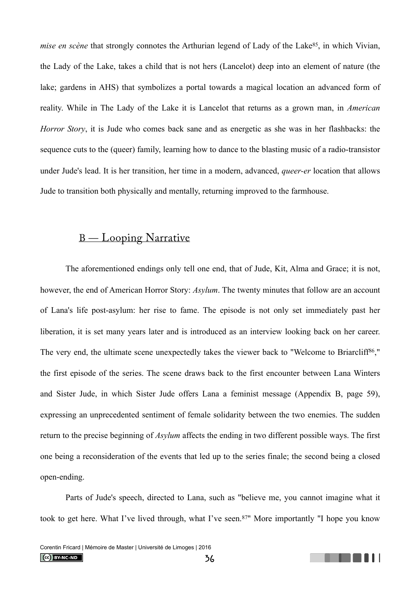<span id="page-35-1"></span>*mise en scène* that strongly connotes the Arthurian legend of Lady of the Lake<sup>85</sup>[,](#page-59-10) in which Vivian, the Lady of the Lake, takes a child that is not hers (Lancelot) deep into an element of nature (the lake; gardens in AHS) that symbolizes a portal towards a magical location an advanced form of reality. While in The Lady of the Lake it is Lancelot that returns as a grown man, in *American Horror Story*, it is Jude who comes back sane and as energetic as she was in her flashbacks: the sequence cuts to the (queer) family, learning how to dance to the blasting music of a radio-transistor under Jude's lead. It is her transition, her time in a modern, advanced, *queer-er* location that allows Jude to transition both physically and mentally, returning improved to the farmhouse.

### B — Looping Narrative

<span id="page-35-0"></span> The aforementioned endings only tell one end, that of Jude, Kit, Alma and Grace; it is not, however, the end of American Horror Story: *Asylum*. The twenty minutes that follow are an account of Lana's life post-asylum: her rise to fame. The episode is not only set immediately past her liberation, it is set many years later and is introduced as an interview looking back on her career. The very end[,](#page-59-11) the ultimate scene unexpectedly takes the viewer back to "Welcome to Briarcliff<sup>[86](#page-59-11)</sup>," the first episode of the series. The scene draws back to the first encounter between Lana Winters and Sister Jude, in which Sister Jude offers Lana a feminist message (Appendix B, page 59), expressing an unprecedented sentiment of female solidarity between the two enemies. The sudden return to the precise beginning of *Asylum* affects the ending in two different possible ways. The first one being a reconsideration of the events that led up to the series finale; the second being a closed open-ending.

 Parts of Jude's speech, directed to Lana, such as "believe me, you cannot imagine what it took to get here. What I've lived through, what I've seen. 87["](#page-59-12) More importantly "I hope you know

<span id="page-35-3"></span><span id="page-35-2"></span>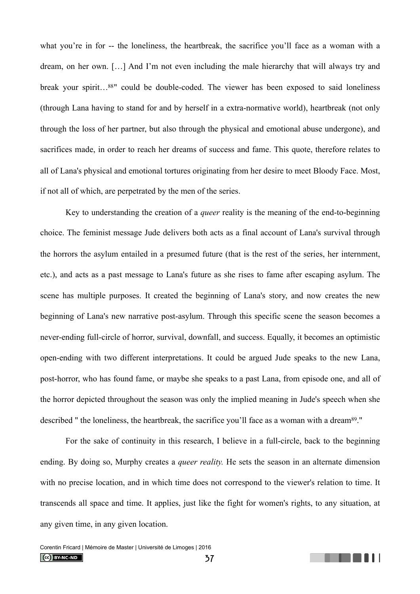<span id="page-36-0"></span>what you're in for -- the loneliness, the heartbreak, the sacrifice you'll face as a woman with a dream, on her own. […] And I'm not even including the male hierarchy that will always try and break your spirit... $88"$  $88"$  could be double-coded. The viewer has been exposed to said loneliness (through Lana having to stand for and by herself in a extra-normative world), heartbreak (not only through the loss of her partner, but also through the physical and emotional abuse undergone), and sacrifices made, in order to reach her dreams of success and fame. This quote, therefore relates to all of Lana's physical and emotional tortures originating from her desire to meet Bloody Face. Most, if not all of which, are perpetrated by the men of the series.

 Key to understanding the creation of a *queer* reality is the meaning of the end-to-beginning choice. The feminist message Jude delivers both acts as a final account of Lana's survival through the horrors the asylum entailed in a presumed future (that is the rest of the series, her internment, etc.), and acts as a past message to Lana's future as she rises to fame after escaping asylum. The scene has multiple purposes. It created the beginning of Lana's story, and now creates the new beginning of Lana's new narrative post-asylum. Through this specific scene the season becomes a never-ending full-circle of horror, survival, downfall, and success. Equally, it becomes an optimistic open-ending with two different interpretations. It could be argued Jude speaks to the new Lana, post-horror, who has found fame, or maybe she speaks to a past Lana, from episode one, and all of the horror depicted throughout the season was only the implied meaning in Jude's speech when she described " the loneliness, the heartbreak, the sacrifice you'll face as a woman with a dream<sup>[89](#page-59-14)</sup>."

 For the sake of continuity in this research, I believe in a full-circle, back to the beginning ending. By doing so, Murphy creates a *queer reality.* He sets the season in an alternate dimension with no precise location, and in which time does not correspond to the viewer's relation to time. It transcends all space and time. It applies, just like the fight for women's rights, to any situation, at any given time, in any given location.

<span id="page-36-1"></span>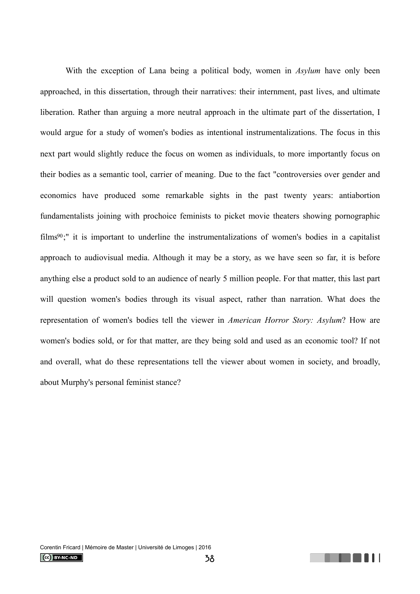<span id="page-37-0"></span> With the exception of Lana being a political body, women in *Asylum* have only been approached, in this dissertation, through their narratives: their internment, past lives, and ultimate liberation. Rather than arguing a more neutral approach in the ultimate part of the dissertation, I would argue for a study of women's bodies as intentional instrumentalizations. The focus in this next part would slightly reduce the focus on women as individuals, to more importantly focus on their bodies as a semantic tool, carrier of meaning. Due to the fact "controversies over gender and economics have produced some remarkable sights in the past twenty years: antiabortion fundamentalists joining with prochoice feminists to picket movie theaters showing pornographic films $90$ ;" it is important to underline the instrumentalizations of women's bodies in a capitalist approach to audiovisual media. Although it may be a story, as we have seen so far, it is before anything else a product sold to an audience of nearly 5 million people. For that matter, this last part will question women's bodies through its visual aspect, rather than narration. What does the representation of women's bodies tell the viewer in *American Horror Story: Asylum*? How are women's bodies sold, or for that matter, are they being sold and used as an economic tool? If not and overall, what do these representations tell the viewer about women in society, and broadly, about Murphy's personal feminist stance?

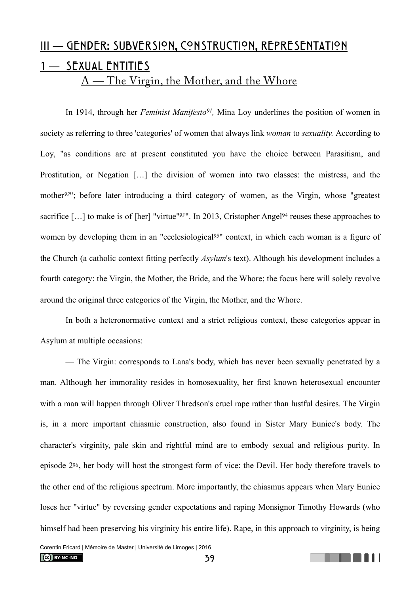# <span id="page-38-1"></span><span id="page-38-0"></span>III **—** Gender**:** Subversion**,** Construction**,** Representation 1 **—** Sexual Entities A — The Virgin, the Mother, and the Whore

<span id="page-38-6"></span><span id="page-38-5"></span><span id="page-38-4"></span><span id="page-38-3"></span><span id="page-38-2"></span>In 1[91](#page-59-16)4, through her *Feminist Manifesto<sup>91</sup>*, Mina Loy underlines the position of women in society as referring to three 'categories' of women that always link *woman* to *sexuality.* According to Loy, "as conditions are at present constituted you have the choice between Parasitism, and Prostitution, or Negation […] the division of women into two classes: the mistress, and the mother<sup>[92](#page-59-17)</sup>"; before later introducing a third category of women, as the Virgin, whose "greatest sacrifice $[...]$  to make is of  $[her]$  "virtue"<sup>[93](#page-59-18)</sup>". In 2013, Cristopher Angel<sup>94</sup> reuses these approaches to women by developing them in an ["](#page-59-20)ecclesiological<sup>[95](#page-59-20)</sup>" context, in which each woman is a figure of the Church (a catholic context fitting perfectly *Asylum*'s text). Although his development includes a fourth category: the Virgin, the Mother, the Bride, and the Whore; the focus here will solely revolve around the original three categories of the Virgin, the Mother, and the Whore.

<span id="page-38-7"></span> In both a heteronormative context and a strict religious context, these categories appear in Asylum at multiple occasions:

<span id="page-38-8"></span> — The Virgin: corresponds to Lana's body, which has never been sexually penetrated by a man. Although her immorality resides in homosexuality, her first known heterosexual encounter with a man will happen through Oliver Thredson's cruel rape rather than lustful desires. The Virgin is, in a more important chiasmic construction, also found in Sister Mary Eunice's body. The character's virginity, pale skin and rightful mind are to embody sexual and religious purity. In episode [296](#page-59-21), her body will host the strongest form of vice: the Devil. Her body therefore travels to the other end of the religious spectrum. More importantly, the chiasmus appears when Mary Eunice loses her "virtue" by reversing gender expectations and raping Monsignor Timothy Howards (who himself had been preserving his virginity his entire life). Rape, in this approach to virginity, is being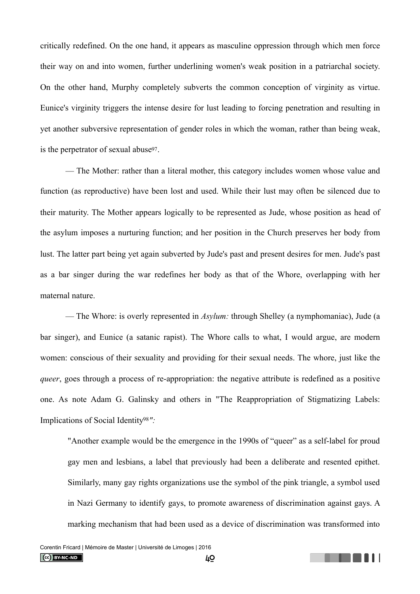critically redefined. On the one hand, it appears as masculine oppression through which men force their way on and into women, further underlining women's weak position in a patriarchal society. On the other hand, Murphy completely subverts the common conception of virginity as virtue. Eunice's virginity triggers the intense desire for lust leading to forcing penetration and resulting in yet another subversive representation of gender roles in which the woman, rather than being weak, is the perpetrator of sexual abuse<sup>97</sup>.

<span id="page-39-0"></span> — The Mother: rather than a literal mother, this category includes women whose value and function (as reproductive) have been lost and used. While their lust may often be silenced due to their maturity. The Mother appears logically to be represented as Jude, whose position as head of the asylum imposes a nurturing function; and her position in the Church preserves her body from lust. The latter part being yet again subverted by Jude's past and present desires for men. Jude's past as a bar singer during the war redefines her body as that of the Whore, overlapping with her maternal nature.

 — The Whore: is overly represented in *Asylum:* through Shelley (a nymphomaniac), Jude (a bar singer), and Eunice (a satanic rapist). The Whore calls to what, I would argue, are modern women: conscious of their sexuality and providing for their sexual needs. The whore, just like the *queer*, goes through a process of re-appropriation: the negative attribute is redefined as a positive one. As note Adam G. Galinsky and others in "The Reappropriation of Stigmatizing Labels: Implications of Social Identity<sup>[98](#page-60-1)</sup>":

<span id="page-39-1"></span>"Another example would be the emergence in the 1990s of "queer" as a self-label for proud gay men and lesbians, a label that previously had been a deliberate and resented epithet. Similarly, many gay rights organizations use the symbol of the pink triangle, a symbol used in Nazi Germany to identify gays, to promote awareness of discrimination against gays. A marking mechanism that had been used as a device of discrimination was transformed into

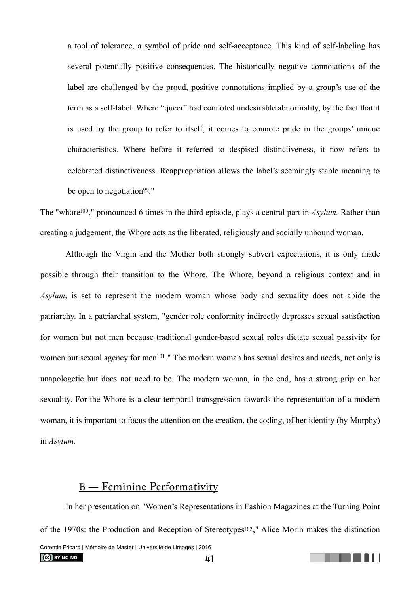a tool of tolerance, a symbol of pride and self-acceptance. This kind of self-labeling has several potentially positive consequences. The historically negative connotations of the label are challenged by the proud, positive connotations implied by a group's use of the term as a self-label. Where "queer" had connoted undesirable abnormality, by the fact that it is used by the group to refer to itself, it comes to connote pride in the groups' unique characteristics. Where before it referred to despised distinctiveness, it now refers to celebrated distinctiveness. Reappropriation allows the label's seemingly stable meaning to be open to negotiation $99$ [.](#page-60-2)"

<span id="page-40-2"></span><span id="page-40-1"></span>The "whore<sup>[100](#page-60-3)</sup>," pronounced 6 times in the third episode, plays a central part in *Asylum*. Rather than creating a judgement, the Whore acts as the liberated, religiously and socially unbound woman.

 Although the Virgin and the Mother both strongly subvert expectations, it is only made possible through their transition to the Whore. The Whore, beyond a religious context and in *Asylum*, is set to represent the modern woman whose body and sexuality does not abide the patriarchy. In a patriarchal system, "gender role conformity indirectly depresses sexual satisfaction for women but not men because traditional gender-based sexual roles dictate sexual passivity for women but sexual agency for men<sup>[101](#page-60-4)</sup>." The modern woman has sexual desires and needs, not only is unapologetic but does not need to be. The modern woman, in the end, has a strong grip on her sexuality. For the Whore is a clear temporal transgression towards the representation of a modern woman, it is important to focus the attention on the creation, the coding, of her identity (by Murphy) in *Asylum.* 

### <span id="page-40-4"></span><span id="page-40-3"></span>B — Feminine Performativity

<span id="page-40-0"></span>In her presentation on "Women's Representations in Fashion Magazines at the Turning Point of the 1970s: the Production and Reception of Stereotype[s102](#page-60-5)," Alice Morin makes the distinction Corentin Fricard | Mémoire de Master | Université de Limoges | 2016  $\left(\text{cc}\right)$  BY-NC-ND . . . . .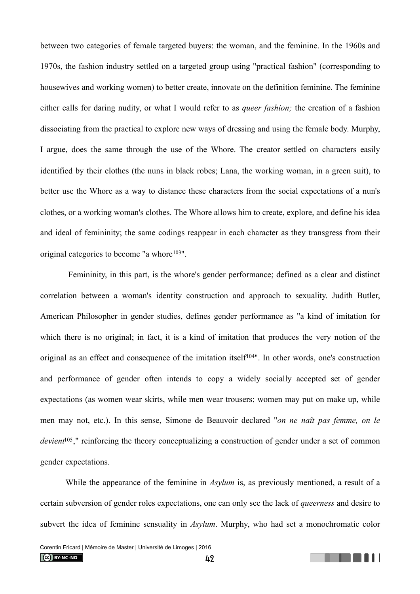between two categories of female targeted buyers: the woman, and the feminine. In the 1960s and 1970s, the fashion industry settled on a targeted group using "practical fashion" (corresponding to housewives and working women) to better create, innovate on the definition feminine. The feminine either calls for daring nudity, or what I would refer to as *queer fashion;* the creation of a fashion dissociating from the practical to explore new ways of dressing and using the female body. Murphy, I argue, does the same through the use of the Whore. The creator settled on characters easily identified by their clothes (the nuns in black robes; Lana, the working woman, in a green suit), to better use the Whore as a way to distance these characters from the social expectations of a nun's clothes, or a working woman's clothes. The Whore allows him to create, explore, and define his idea and ideal of femininity; the same codings reappear in each character as they transgress from their original categories to become "a whore $103"$  $103"$ .

<span id="page-41-0"></span> Femininity, in this part, is the whore's gender performance; defined as a clear and distinct correlation between a woman's identity construction and approach to sexuality. Judith Butler, American Philosopher in gender studies, defines gender performance as "a kind of imitation for which there is no original; in fact, it is a kind of imitation that produces the very notion of the original as an effect and consequence of the imitation itself<sup>[104](#page-60-7)"</sup>. In other words, one's construction and performance of gender often intends to copy a widely socially accepted set of gender expectations (as women wear skirts, while men wear trousers; women may put on make up, while men may not, etc.). In this sense, Simone de Beauvoir declared "*on ne naît pas femme, on le devient*<sup>[105](#page-60-8)</sup>," reinforcing the theory conceptualizing a construction of gender under a set of common gender expectations.

<span id="page-41-2"></span> While the appearance of the feminine in *Asylum* is, as previously mentioned, a result of a certain subversion of gender roles expectations, one can only see the lack of *queerness* and desire to subvert the idea of feminine sensuality in *Asylum*. Murphy, who had set a monochromatic color

<span id="page-41-1"></span>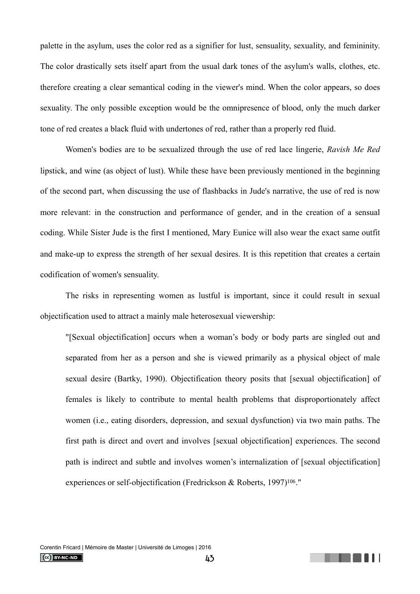palette in the asylum, uses the color red as a signifier for lust, sensuality, sexuality, and femininity. The color drastically sets itself apart from the usual dark tones of the asylum's walls, clothes, etc. therefore creating a clear semantical coding in the viewer's mind. When the color appears, so does sexuality. The only possible exception would be the omnipresence of blood, only the much darker tone of red creates a black fluid with undertones of red, rather than a properly red fluid.

 Women's bodies are to be sexualized through the use of red lace lingerie, *Ravish Me Red*  lipstick, and wine (as object of lust). While these have been previously mentioned in the beginning of the second part, when discussing the use of flashbacks in Jude's narrative, the use of red is now more relevant: in the construction and performance of gender, and in the creation of a sensual coding. While Sister Jude is the first I mentioned, Mary Eunice will also wear the exact same outfit and make-up to express the strength of her sexual desires. It is this repetition that creates a certain codification of women's sensuality.

 The risks in representing women as lustful is important, since it could result in sexual objectification used to attract a mainly male heterosexual viewership:

"[Sexual objectification] occurs when a woman's body or body parts are singled out and separated from her as a person and she is viewed primarily as a physical object of male sexual desire (Bartky, 1990). Objectification theory posits that [sexual objectification] of females is likely to contribute to mental health problems that disproportionately affect women (i.e., eating disorders, depression, and sexual dysfunction) via two main paths. The first path is direct and overt and involves [sexual objectification] experiences. The second path is indirect and subtle and involves women's internalization of [sexual objectification] experiences or self-objectification (Fredrickson & Roberts, 1997)<sup>[106](#page-60-9)</sup>."

<span id="page-42-0"></span>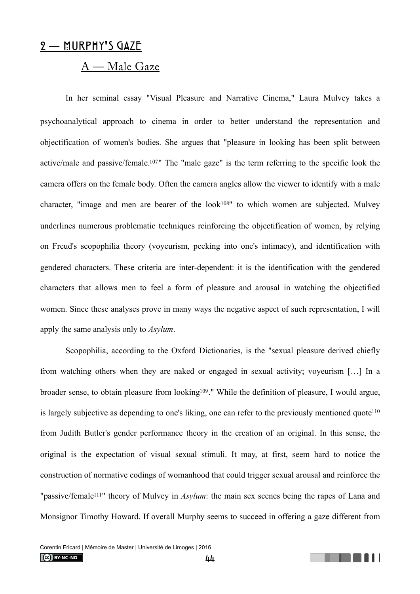### <span id="page-43-1"></span><span id="page-43-0"></span>2 **—** Murphy**'**s Gaze

### <span id="page-43-3"></span><span id="page-43-2"></span>A — Male Gaze

In her seminal essay "Visual Pleasure and Narrative Cinema," Laura Mulvey takes a psychoanalytical approach to cinema in order to better understand the representation and objectification of women's bodies. She argues that "pleasure in looking has been split between active/male and passive/female.<sup>[107](#page-60-10)</sup>" The "male gaze" is the term referring to the specific look the camera offers on the female body. Often the camera angles allow the viewer to identify with a male character, "image and men are bearer of the look<sup>[108](#page-60-11)"</sup> to which women are subjected. Mulvey underlines numerous problematic techniques reinforcing the objectification of women, by relying on Freud's scopophilia theory (voyeurism, peeking into one's intimacy), and identification with gendered characters. These criteria are inter-dependent: it is the identification with the gendered characters that allows men to feel a form of pleasure and arousal in watching the objectified women. Since these analyses prove in many ways the negative aspect of such representation, I will apply the same analysis only to *Asylum*.

<span id="page-43-6"></span><span id="page-43-4"></span> Scopophilia, according to the Oxford Dictionaries, is the "sexual pleasure derived chiefly from watching others when they are naked or engaged in sexual activity; voyeurism […] In a broader sense, to obtain pleasure from looking<sup>[109](#page-60-12)</sup>." While the definition of pleasure, I would argue, is largely subjective as depending to one's liking, one can refer to the previously mentioned quote<sup>110</sup> from Judith Butler's gender performance theory in the creation of an original. In this sense, the original is the expectation of visual sexual stimuli. It may, at first, seem hard to notice the construction of normative codings of womanhood that could trigger sexual arousal and reinforce the "passive/female<sup>[111](#page-60-14)</sup>" theory of Mulvey in *Asylum*: the main sex scenes being the rapes of Lana and Monsignor Timothy Howard. If overall Murphy seems to succeed in offering a gaze different from

<span id="page-43-5"></span>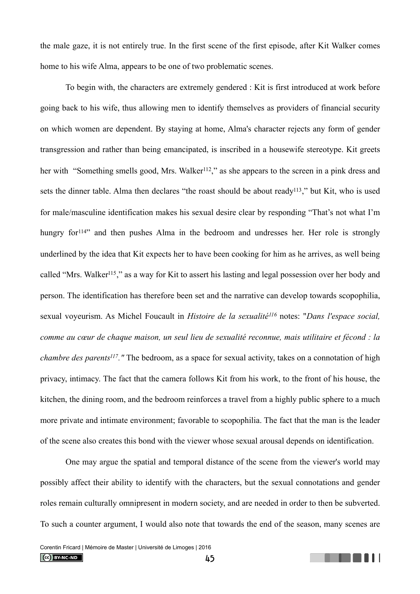the male gaze, it is not entirely true. In the first scene of the first episode, after Kit Walker comes home to his wife Alma, appears to be one of two problematic scenes.

<span id="page-44-3"></span><span id="page-44-2"></span><span id="page-44-1"></span><span id="page-44-0"></span> To begin with, the characters are extremely gendered : Kit is first introduced at work before going back to his wife, thus allowing men to identify themselves as providers of financial security on which women are dependent. By staying at home, Alma's character rejects any form of gender transgression and rather than being emancipated, is inscribed in a housewife stereotype. Kit greets her with "Something smells good, Mrs. Walker<sup>[112](#page-60-15)</sup>," as she appears to the screen in a pink dress and sets the dinner table. Alma then declares "the roast should be about ready<sup>[113](#page-60-16)</sup>," but Kit, who is used for male/masculine identification makes his sexual desire clear by responding "That's not what I'm hungry for  $14$ <sup>2</sup> and then pushes Alma in the bedroom and undresses her. Her role is strongly underlined by the idea that Kit expects her to have been cooking for him as he arrives, as well being called "Mrs. Walker<sup>[115](#page-60-18)</sup>," as a way for Kit to assert his lasting and legal possession over her body and person. The identification has therefore been set and the narrative can develop towards scopophilia, sexual voyeurism. As Michel Foucault in *Histoire de la sexualité<sup>[116](#page-60-19)</sup>* notes: "*Dans l'espace social*, *comme au cœur de chaque maison, un seul lieu de sexualité reconnue, mais utilitaire et fécond : la chambre des parents<sup>[117](#page-61-0)</sup>.* " The bedroom, as a space for sexual activity, takes on a connotation of high privacy, intimacy. The fact that the camera follows Kit from his work, to the front of his house, the kitchen, the dining room, and the bedroom reinforces a travel from a highly public sphere to a much more private and intimate environment; favorable to scopophilia. The fact that the man is the leader of the scene also creates this bond with the viewer whose sexual arousal depends on identification.

<span id="page-44-5"></span> One may argue the spatial and temporal distance of the scene from the viewer's world may possibly affect their ability to identify with the characters, but the sexual connotations and gender roles remain culturally omnipresent in modern society, and are needed in order to then be subverted. To such a counter argument, I would also note that towards the end of the season, many scenes are

<span id="page-44-4"></span>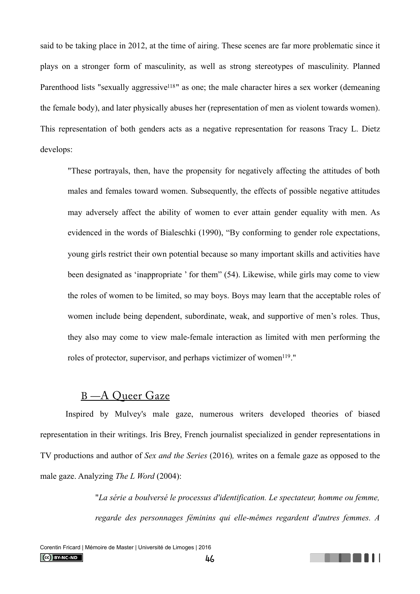said to be taking place in 2012, at the time of airing. These scenes are far more problematic since it plays on a stronger form of masculinity, as well as strong stereotypes of masculinity. Planned Parenthood lists "sexually aggressive<sup>[118](#page-61-1)</sup>" as one; the male character hires a sex worker (demeaning the female body), and later physically abuses her (representation of men as violent towards women). This representation of both genders acts as a negative representation for reasons Tracy L. Dietz develops:

<span id="page-45-1"></span>"These portrayals, then, have the propensity for negatively affecting the attitudes of both males and females toward women. Subsequently, the effects of possible negative attitudes may adversely affect the ability of women to ever attain gender equality with men. As evidenced in the words of Bialeschki (1990), "By conforming to gender role expectations, young girls restrict their own potential because so many important skills and activities have been designated as 'inappropriate ' for them" (54). Likewise, while girls may come to view the roles of women to be limited, so may boys. Boys may learn that the acceptable roles of women include being dependent, subordinate, weak, and supportive of men's roles. Thus, they also may come to view male-female interaction as limited with men performing the roles of protector, supervisor, and perhaps victimizer of women<sup>119</sup>[.](#page-61-2)"

### B —A Queer Gaze

<span id="page-45-0"></span> Inspired by Mulvey's male gaze, numerous writers developed theories of biased representation in their writings. Iris Brey, French journalist specialized in gender representations in TV productions and author of *Sex and the Series* (2016)*,* writes on a female gaze as opposed to the male gaze. Analyzing *The L Word* (2004):

> "*La série a boulversé le processus d'identification. Le spectateur, homme ou femme, regarde des personnages féminins qui elle-mêmes regardent d'autres femmes. A*

<span id="page-45-2"></span>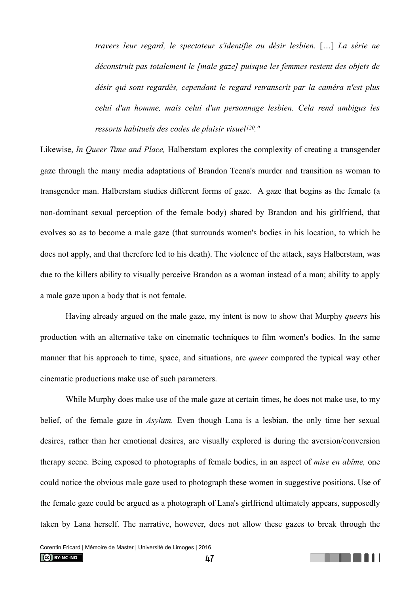<span id="page-46-0"></span>*travers leur regard, le spectateur s'identifie au désir lesbien.* […] *La série ne déconstruit pas totalement le [male gaze] puisque les femmes restent des objets de désir qui sont regardés, cependant le regard retranscrit par la caméra n'est plus celui d'un homme, mais celui d'un personnage lesbien. Cela rend ambigus les ressorts habituels des codes de plaisir visuel<sup>120</sup>[.](#page-61-3)*<sup>*"*</sup>

Likewise, *In Queer Time and Place,* Halberstam explores the complexity of creating a transgender gaze through the many media adaptations of Brandon Teena's murder and transition as woman to transgender man. Halberstam studies different forms of gaze. A gaze that begins as the female (a non-dominant sexual perception of the female body) shared by Brandon and his girlfriend, that evolves so as to become a male gaze (that surrounds women's bodies in his location, to which he does not apply, and that therefore led to his death). The violence of the attack, says Halberstam, was due to the killers ability to visually perceive Brandon as a woman instead of a man; ability to apply a male gaze upon a body that is not female.

 Having already argued on the male gaze, my intent is now to show that Murphy *queers* his production with an alternative take on cinematic techniques to film women's bodies. In the same manner that his approach to time, space, and situations, are *queer* compared the typical way other cinematic productions make use of such parameters.

 While Murphy does make use of the male gaze at certain times, he does not make use, to my belief, of the female gaze in *Asylum.* Even though Lana is a lesbian, the only time her sexual desires, rather than her emotional desires, are visually explored is during the aversion/conversion therapy scene. Being exposed to photographs of female bodies, in an aspect of *mise en abîme,* one could notice the obvious male gaze used to photograph these women in suggestive positions. Use of the female gaze could be argued as a photograph of Lana's girlfriend ultimately appears, supposedly taken by Lana herself. The narrative, however, does not allow these gazes to break through the

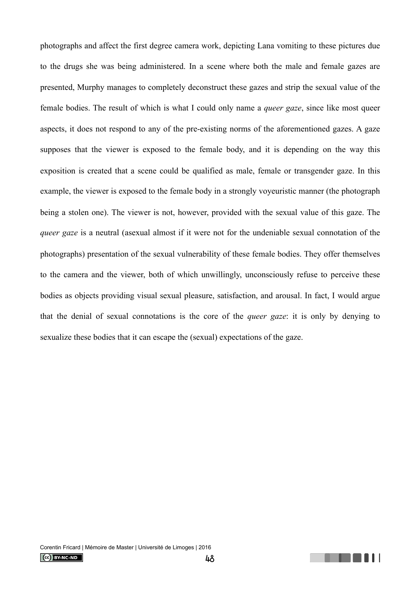photographs and affect the first degree camera work, depicting Lana vomiting to these pictures due to the drugs she was being administered. In a scene where both the male and female gazes are presented, Murphy manages to completely deconstruct these gazes and strip the sexual value of the female bodies. The result of which is what I could only name a *queer gaze*, since like most queer aspects, it does not respond to any of the pre-existing norms of the aforementioned gazes. A gaze supposes that the viewer is exposed to the female body, and it is depending on the way this exposition is created that a scene could be qualified as male, female or transgender gaze. In this example, the viewer is exposed to the female body in a strongly voyeuristic manner (the photograph being a stolen one). The viewer is not, however, provided with the sexual value of this gaze. The *queer gaze* is a neutral (asexual almost if it were not for the undeniable sexual connotation of the photographs) presentation of the sexual vulnerability of these female bodies. They offer themselves to the camera and the viewer, both of which unwillingly, unconsciously refuse to perceive these bodies as objects providing visual sexual pleasure, satisfaction, and arousal. In fact, I would argue that the denial of sexual connotations is the core of the *queer gaze*: it is only by denying to sexualize these bodies that it can escape the (sexual) expectations of the gaze.

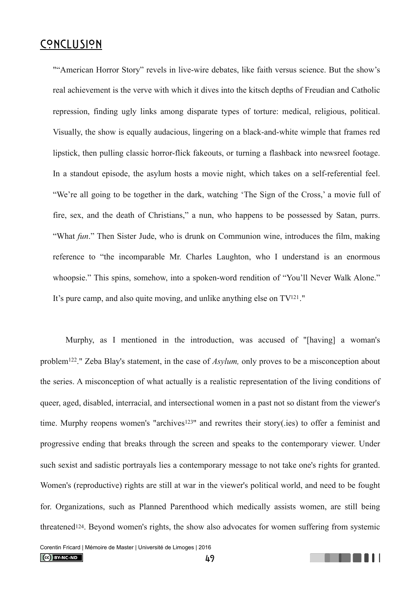### <span id="page-48-0"></span>Conclusion

""American Horror Story" revels in live-wire debates, like faith versus science. But the show's real achievement is the verve with which it dives into the kitsch depths of Freudian and Catholic repression, finding ugly links among disparate types of torture: medical, religious, political. Visually, the show is equally audacious, lingering on a black-and-white wimple that frames red lipstick, then pulling classic horror-flick fakeouts, or turning a flashback into newsreel footage. In a standout episode, the asylum hosts a movie night, which takes on a self-referential feel. "We're all going to be together in the dark, watching 'The Sign of the Cross,' a movie full of fire, sex, and the death of Christians," a nun, who happens to be possessed by Satan, purrs. "What *fun*." Then Sister Jude, who is drunk on Communion wine, introduces the film, making reference to "the incomparable Mr. Charles Laughton, who I understand is an enormous whoopsie." This spins, somehow, into a spoken-word rendition of "You'll Never Walk Alone." It's pure camp, and also quite moving, and unlike anything else on  $TV^{121}$  $TV^{121}$  $TV^{121}$ ."

<span id="page-48-4"></span><span id="page-48-3"></span><span id="page-48-2"></span><span id="page-48-1"></span> Murphy, as I mentioned in the introduction, was accused of "[having] a woman's problem<sup>[122](#page-61-5)</sup>." Zeba Blay's statement, in the case of *Asylum*, only proves to be a misconception about the series. A misconception of what actually is a realistic representation of the living conditions of queer, aged, disabled, interracial, and intersectional women in a past not so distant from the viewer's time. Murphy reopens women's ["](#page-61-6)archives<sup>[123](#page-61-6)</sup>" and rewrites their story(.ies) to offer a feminist and progressive ending that breaks through the screen and speaks to the contemporary viewer. Under such sexist and sadistic portrayals lies a contemporary message to not take one's rights for granted. Women's (reproductive) rights are still at war in the viewer's political world, and need to be fought for. Organizations, such as Planned Parenthood which medically assists women, are still being threatened[124.](#page-61-7) Beyond women's rights, the show also advocates for women suffering from systemic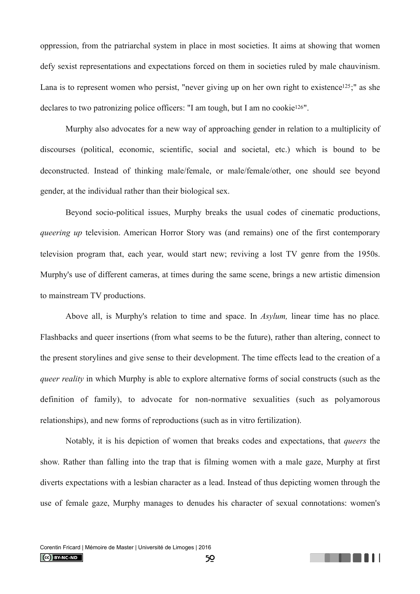oppression, from the patriarchal system in place in most societies. It aims at showing that women defy sexist representations and expectations forced on them in societies ruled by male chauvinism. Lana is to represent women who persist, "never giving up on her own right to existence<sup>[125](#page-61-8)</sup>;" as she declares to two patronizing police officers: "I am tough, but I am no cookie<sup>126"</sup>.

<span id="page-49-1"></span><span id="page-49-0"></span> Murphy also advocates for a new way of approaching gender in relation to a multiplicity of discourses (political, economic, scientific, social and societal, etc.) which is bound to be deconstructed. Instead of thinking male/female, or male/female/other, one should see beyond gender, at the individual rather than their biological sex.

 Beyond socio-political issues, Murphy breaks the usual codes of cinematic productions, *queering up* television. American Horror Story was (and remains) one of the first contemporary television program that, each year, would start new; reviving a lost TV genre from the 1950s. Murphy's use of different cameras, at times during the same scene, brings a new artistic dimension to mainstream TV productions.

 Above all, is Murphy's relation to time and space. In *Asylum,* linear time has no place*.*  Flashbacks and queer insertions (from what seems to be the future), rather than altering, connect to the present storylines and give sense to their development. The time effects lead to the creation of a *queer reality* in which Murphy is able to explore alternative forms of social constructs (such as the definition of family), to advocate for non-normative sexualities (such as polyamorous relationships), and new forms of reproductions (such as in vitro fertilization).

 Notably, it is his depiction of women that breaks codes and expectations, that *queers* the show. Rather than falling into the trap that is filming women with a male gaze, Murphy at first diverts expectations with a lesbian character as a lead. Instead of thus depicting women through the use of female gaze, Murphy manages to denudes his character of sexual connotations: women's

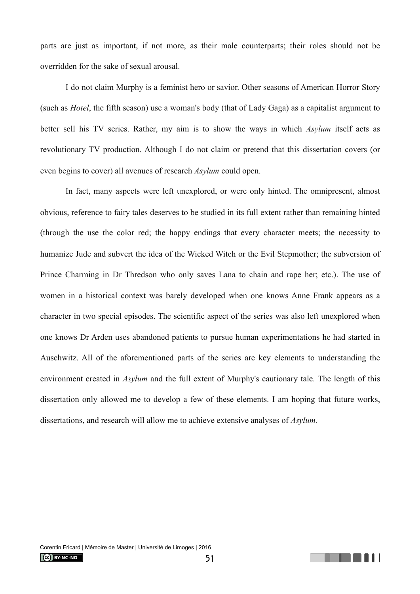parts are just as important, if not more, as their male counterparts; their roles should not be overridden for the sake of sexual arousal.

 I do not claim Murphy is a feminist hero or savior. Other seasons of American Horror Story (such as *Hotel*, the fifth season) use a woman's body (that of Lady Gaga) as a capitalist argument to better sell his TV series. Rather, my aim is to show the ways in which *Asylum* itself acts as revolutionary TV production. Although I do not claim or pretend that this dissertation covers (or even begins to cover) all avenues of research *Asylum* could open.

 In fact, many aspects were left unexplored, or were only hinted. The omnipresent, almost obvious, reference to fairy tales deserves to be studied in its full extent rather than remaining hinted (through the use the color red; the happy endings that every character meets; the necessity to humanize Jude and subvert the idea of the Wicked Witch or the Evil Stepmother; the subversion of Prince Charming in Dr Thredson who only saves Lana to chain and rape her; etc.). The use of women in a historical context was barely developed when one knows Anne Frank appears as a character in two special episodes. The scientific aspect of the series was also left unexplored when one knows Dr Arden uses abandoned patients to pursue human experimentations he had started in Auschwitz. All of the aforementioned parts of the series are key elements to understanding the environment created in *Asylum* and the full extent of Murphy's cautionary tale. The length of this dissertation only allowed me to develop a few of these elements. I am hoping that future works, dissertations, and research will allow me to achieve extensive analyses of *Asylum.* 

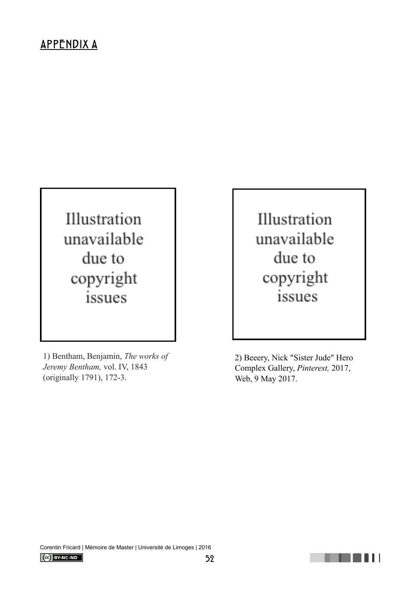## <span id="page-51-0"></span>**APPENDIX A**



1) Bentham, Benjamin, *The works of Jeremy Bentham,* vol. IV, 1843 (originally 1791), 172-3.

Illustration unavailable due to copyright issues

2) Beeery, Nick "Sister Jude" Hero Complex Gallery, *Pinterest,* 2017, Web, 9 May 2017.

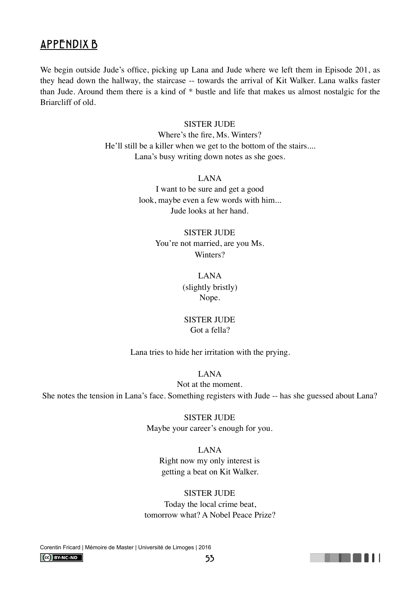### <span id="page-52-0"></span>Appendix B

We begin outside Jude's office, picking up Lana and Jude where we left them in Episode 201, as they head down the hallway, the staircase -- towards the arrival of Kit Walker. Lana walks faster than Jude. Around them there is a kind of \* bustle and life that makes us almost nostalgic for the Briarcliff of old.

#### SISTER JUDE

Where's the fire, Ms. Winters? He'll still be a killer when we get to the bottom of the stairs.... Lana's busy writing down notes as she goes.

> LANA I want to be sure and get a good look, maybe even a few words with him... Jude looks at her hand.

> > SISTER JUDE You're not married, are you Ms. Winters?

> > > LANA (slightly bristly) Nope.

SISTER JUDE Got a fella?

Lana tries to hide her irritation with the prying.

LANA

Not at the moment. She notes the tension in Lana's face. Something registers with Jude -- has she guessed about Lana?

> SISTER JUDE Maybe your career's enough for you.

LANA Right now my only interest is getting a beat on Kit Walker.

SISTER JUDE Today the local crime beat, tomorrow what? A Nobel Peace Prize?

Corentin Fricard | Mémoire de Master | Université de Limoges | 2016  $\left(\text{cc}\right)$  BY-NC-ND 53

. . . .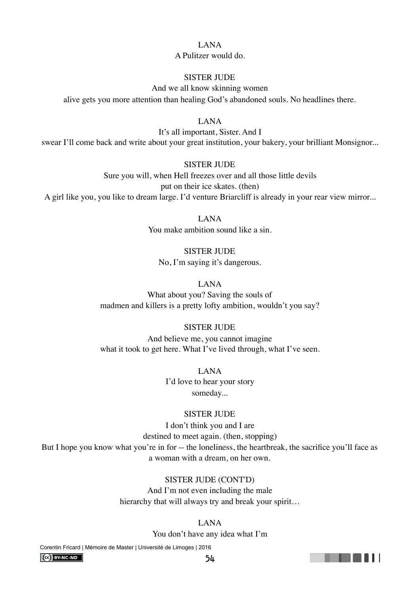#### LANA

#### A Pulitzer would do.

#### SISTER **IUDE**

And we all know skinning women alive gets you more attention than healing God's abandoned souls. No headlines there.

#### LANA

It's all important, Sister. And I swear I'll come back and write about your great institution, your bakery, your brilliant Monsignor...

#### SISTER JUDE

Sure you will, when Hell freezes over and all those little devils put on their ice skates. (then) A girl like you, you like to dream large. I'd venture Briarcliff is already in your rear view mirror...

> LANA You make ambition sound like a sin.

#### SISTER JUDE

No, I'm saying it's dangerous.

### LANA

What about you? Saving the souls of madmen and killers is a pretty lofty ambition, wouldn't you say?

#### SISTER JUDE

And believe me, you cannot imagine what it took to get here. What I've lived through, what I've seen.

> LANA I'd love to hear your story someday...

#### SISTER **IUDE**

I don't think you and I are destined to meet again. (then, stopping) But I hope you know what you're in for -- the loneliness, the heartbreak, the sacrifice you'll face as a woman with a dream, on her own.

> SISTER JUDE (CONT'D) And I'm not even including the male hierarchy that will always try and break your spirit...

#### LANA

You don't have any idea what I'm

Corentin Fricard | Mémoire de Master | Université de Limoges | 2016

 $\left(\text{cc}\right)$  BY-NC-ND

54

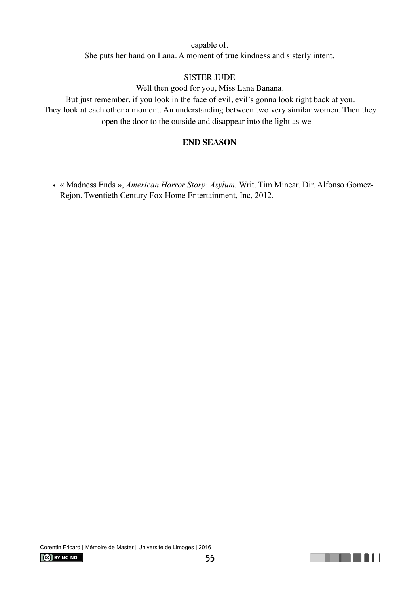capable of. She puts her hand on Lana. A moment of true kindness and sisterly intent.

### SISTER JUDE

Well then good for you, Miss Lana Banana.

But just remember, if you look in the face of evil, evil's gonna look right back at you. They look at each other a moment. An understanding between two very similar women. Then they open the door to the outside and disappear into the light as we --

### **END SEASON**

• « Madness Ends », *American Horror Story: Asylum.* Writ. Tim Minear. Dir. Alfonso Gomez-Rejon. Twentieth Century Fox Home Entertainment, Inc, 2012.

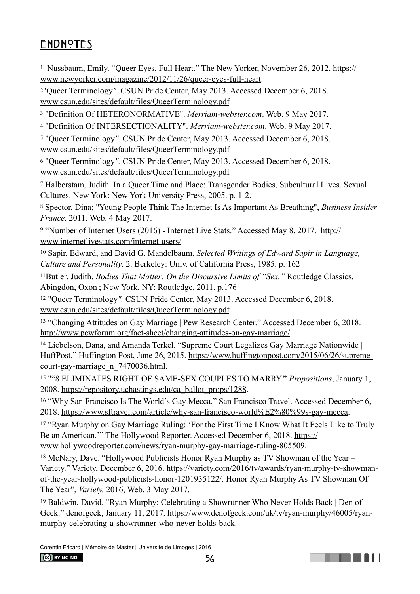# <span id="page-55-6"></span>ENDNOTES

<span id="page-55-0"></span><sup>1</sup> Nussbaum, Emily. "Queer Eyes, Full Heart." The New Yorker, November 26, 2012. [https://](http://www.newyorker.com/magazine/2012/11/26/queer-eyes-full-heart) [www.newyorker.com/magazine/2012/11/26/queer-eyes-full-heart](http://www.newyorker.com/magazine/2012/11/26/queer-eyes-full-heart).

<span id="page-55-1"></span>[2](#page-3-1)"Queer Terminology*".* CSUN Pride Center, May 2013. Accessed December 6, 2018. [www.csun.edu/sites/default/files/QueerTerminology.pdf](http://www.csun.edu/sites/default/files/QueerTerminology.pdf)

<span id="page-55-2"></span><sup>[3](#page-3-2)</sup> "Definition Of HETERONORMATIVE". *Merriam-webster.com*. Web. 9 May 2017.

<span id="page-55-3"></span>[4](#page-3-3) "Definition Of INTERSECTIONALITY". *Merriam-webster.com*. Web. 9 May 2017.

<span id="page-55-4"></span><sup>[5](#page-3-4)</sup> "Queer Terminology". CSUN Pride Center, May 2013. Accessed December 6, 2018. [www.csun.edu/sites/default/files/QueerTerminology.pdf](http://www.csun.edu/sites/default/files/QueerTerminology.pdf)

<span id="page-55-5"></span>[6](#page-3-5) "Queer Terminology*".* CSUN Pride Center, May 2013. Accessed December 6, 2018. [www.csun.edu/sites/default/files/QueerTerminology.pdf](http://www.csun.edu/sites/default/files/QueerTerminology.pdf)

<span id="page-55-7"></span> Halberstam, Judith. In a Queer Time and Place: Transgender Bodies, Subcultural Lives. Sexual [7](#page-5-1) Cultures. New York: New York University Press, 2005. p. 1-2.

<span id="page-55-8"></span> Spector, Dina; "Young People Think The Internet Is As Important As Breathing", *Business Insider* [8](#page-6-0) *France,* 2011. Web. 4 May 2017.

<span id="page-55-9"></span><sup>9</sup> "Number of Internet Users (2016) - Internet Live Stats." Accessed May 8, 2017. [http://](http://www.internetlivestats.com/internet-users/) [www.internetlivestats.com/internet-users/](http://www.internetlivestats.com/internet-users/)

<span id="page-55-10"></span> Sapir, Edward, and David G. Mandelbaum. *Selected Writings of Edward Sapir in Language,* [10](#page-6-2) *Culture and Personality*. 2. Berkeley: Univ. of California Press, 1985. p. 162

<span id="page-55-11"></span><sup>[11](#page-6-3)</sup>Butler, Judith. *Bodies That Matter: On the Discursive Limits of "Sex."* Routledge Classics. Abingdon, Oxon ; New York, NY: Routledge, 2011. p.176

<span id="page-55-12"></span><sup>[12](#page-7-0)</sup> "Queer Terminology". CSUN Pride Center, May 2013. Accessed December 6, 2018. [www.csun.edu/sites/default/files/QueerTerminology.pdf](http://www.csun.edu/sites/default/files/QueerTerminology.pdf)

<span id="page-55-13"></span><sup>[13](#page-7-1)</sup> "Changing Attitudes on Gay Marriage | Pew Research Center." Accessed December 6, 2018. <http://www.pewforum.org/fact-sheet/changing-attitudes-on-gay-marriage/>.

<span id="page-55-14"></span><sup>[14](#page-7-2)</sup> Liebelson, Dana, and Amanda Terkel. "Supreme Court Legalizes Gay Marriage Nationwide | HuffPost." Huffington Post, June 26, 2015. [https://www.huffingtonpost.com/2015/06/26/supreme](http://www.huffingtonpost.com/2015/06/26/supreme-court-gay-marriage_n_7470036.html)[court-gay-marriage\\_n\\_7470036.html](http://www.huffingtonpost.com/2015/06/26/supreme-court-gay-marriage_n_7470036.html).

<span id="page-55-15"></span><sup>[15](#page-7-3)</sup> ""8 ELIMINATES RIGHT OF SAME-SEX COUPLES TO MARRY." *Propositions*, January 1, 2008. [https://repository.uchastings.edu/ca\\_ballot\\_props/1288](http://repository.uchastings.edu/ca_ballot_props/1288).

<span id="page-55-16"></span><sup>[16](#page-7-4)</sup> "Why San Francisco Is The World's Gay Mecca." San Francisco Travel. Accessed December 6, 2018. [https://www.sftravel.com/article/why-san-francisco-world%E2%80%99s-gay-mecca](http://www.sftravel.com/article/why-san-francisco-world%E2%80%99s-gay-mecca).

<span id="page-55-17"></span><sup>[17](#page-8-0)</sup> "Ryan Murphy on Gay Marriage Ruling: 'For the First Time I Know What It Feels Like to Truly Be an American." The Hollywood Reporter. Accessed December 6, 2018. [https://](http://www.hollywoodreporter.com/news/ryan-murphy-gay-marriage-ruling-805509) [www.hollywoodreporter.com/news/ryan-murphy-gay-marriage-ruling-805509](http://www.hollywoodreporter.com/news/ryan-murphy-gay-marriage-ruling-805509).

<span id="page-55-18"></span> $18$  McNary, Dave. "Hollywood Publicists Honor Ryan Murphy as TV Showman of the Year – Variety." Variety, December 6, 2016. [https://variety.com/2016/tv/awards/ryan-murphy-tv-showman](http://variety.com/2016/tv/awards/ryan-murphy-tv-showman-of-the-year-hollywood-publicists-honor-1201935122/)[of-the-year-hollywood-publicists-honor-1201935122/](http://variety.com/2016/tv/awards/ryan-murphy-tv-showman-of-the-year-hollywood-publicists-honor-1201935122/). Honor Ryan Murphy As TV Showman Of The Year", *Variety,* 2016, Web, 3 May 2017.

<span id="page-55-19"></span><sup>[19](#page-8-2)</sup> Baldwin, David. "Ryan Murphy: Celebrating a Showrunner Who Never Holds Back | Den of Geek." denofgeek, January 11, 2017. [https://www.denofgeek.com/uk/tv/ryan-murphy/46005/ryan](http://www.denofgeek.com/uk/tv/ryan-murphy/46005/ryan-murphy-celebrating-a-showrunner-who-never-holds-back)[murphy-celebrating-a-showrunner-who-never-holds-back](http://www.denofgeek.com/uk/tv/ryan-murphy/46005/ryan-murphy-celebrating-a-showrunner-who-never-holds-back).

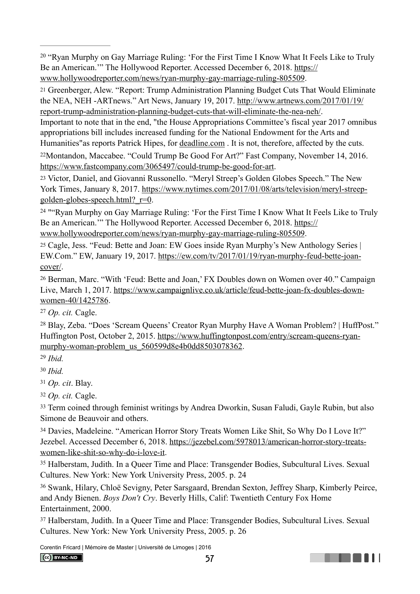<span id="page-56-0"></span><sup>[20](#page-8-3)</sup> "Ryan Murphy on Gay Marriage Ruling: 'For the First Time I Know What It Feels Like to Truly Be an American.'" The Hollywood Reporter. Accessed December 6, 2018. [https://](http://www.hollywoodreporter.com/news/ryan-murphy-gay-marriage-ruling-805509) [www.hollywoodreporter.com/news/ryan-murphy-gay-marriage-ruling-805509](http://www.hollywoodreporter.com/news/ryan-murphy-gay-marriage-ruling-805509).

<span id="page-56-1"></span>[21](#page-8-4) Greenberger, Alew. "Report: Trump Administration Planning Budget Cuts That Would Eliminate the NEA, NEH -ARTnews." Art News, January 19, 2017. [http://www.artnews.com/2017/01/19/](http://www.artnews.com/2017/01/19/report-trump-administration-planning-budget-cuts-that-will-eliminate-the-nea-neh/) [report-trump-administration-planning-budget-cuts-that-will-eliminate-the-nea-neh/.](http://www.artnews.com/2017/01/19/report-trump-administration-planning-budget-cuts-that-will-eliminate-the-nea-neh/)

Important to note that in the end, "the House Appropriations Committee's fiscal year 2017 omnibus appropriations bill includes increased funding for the National Endowment for the Arts and Humanities"as reports Patrick Hipes, for [deadline.com](http://deadline.com) . It is not, therefore, affected by the cuts.

<span id="page-56-2"></span><sup>[22](#page-9-0)</sup>Montandon, Maccabee. "Could Trump Be Good For Art?" Fast Company, November 14, 2016. [https://www.fastcompany.com/3065497/could-trump-be-good-for-art](http://www.fastcompany.com/3065497/could-trump-be-good-for-art).

<span id="page-56-3"></span>[23](#page-9-1) Victor, Daniel, and Giovanni Russonello. "Meryl Streep's Golden Globes Speech." The New York Times, January 8, 2017. [https://www.nytimes.com/2017/01/08/arts/television/meryl-streep](http://www.nytimes.com/2017/01/08/arts/television/meryl-streep-golden-globes-speech.html?_r=0)golden-globes-speech.html? $r=0$ .

<span id="page-56-4"></span><sup>[24](#page-9-2)</sup> ""Ryan Murphy on Gay Marriage Ruling: 'For the First Time I Know What It Feels Like to Truly Be an American.'" The Hollywood Reporter. Accessed December 6, 2018. [https://](http://www.hollywoodreporter.com/news/ryan-murphy-gay-marriage-ruling-805509) [www.hollywoodreporter.com/news/ryan-murphy-gay-marriage-ruling-805509](http://www.hollywoodreporter.com/news/ryan-murphy-gay-marriage-ruling-805509).

<span id="page-56-5"></span>[25](#page-10-0) Cagle, Jess. "Feud: Bette and Joan: EW Goes inside Ryan Murphy's New Anthology Series | EW.Com." EW, January 19, 2017. [https://ew.com/tv/2017/01/19/ryan-murphy-feud-bette-joan](http://ew.com/tv/2017/01/19/ryan-murphy-feud-bette-joan-cover/)[cover/.](http://ew.com/tv/2017/01/19/ryan-murphy-feud-bette-joan-cover/)

<span id="page-56-6"></span><sup>[26](#page-10-1)</sup> Berman, Marc. "With 'Feud: Bette and Joan,' FX Doubles down on Women over 40." Campaign Live, March 1, 2017. [https://www.campaignlive.co.uk/article/feud-bette-joan-fx-doubles-down](http://www.campaignlive.co.uk/article/feud-bette-joan-fx-doubles-down-women-40/1425786)[women-40/1425786](http://www.campaignlive.co.uk/article/feud-bette-joan-fx-doubles-down-women-40/1425786).

<span id="page-56-7"></span>*Op. cit.* Cagle. [27](#page-10-2)

<span id="page-56-8"></span><sup>[28](#page-10-3)</sup> Blay, Zeba. "Does 'Scream Queens' Creator Ryan Murphy Have A Woman Problem? | HuffPost." Huffington Post, October 2, 2015. [https://www.huffingtonpost.com/entry/scream-queens-ryan](http://www.huffingtonpost.com/entry/scream-queens-ryan-murphy-woman-problem_us_560599d8e4b0dd8503078362)[murphy-woman-problem\\_us\\_560599d8e4b0dd8503078362](http://www.huffingtonpost.com/entry/scream-queens-ryan-murphy-woman-problem_us_560599d8e4b0dd8503078362).

<span id="page-56-9"></span>*Ibid.* [29](#page-10-4)

<span id="page-56-10"></span>*Ibid.* [30](#page-10-5)

<span id="page-56-11"></span>*Op. cit*. Blay. [31](#page-10-6)

<span id="page-56-12"></span>*Op. cit.* Cagle. [32](#page-10-7)

<span id="page-56-13"></span><sup>[33](#page-10-8)</sup> Term coined through feminist writings by Andrea Dworkin, Susan Faludi, Gayle Rubin, but also Simone de Beauvoir and others.

<span id="page-56-14"></span><sup>[34](#page-12-3)</sup> Davies, Madeleine. "American Horror Story Treats Women Like Shit, So Why Do I Love It?" Jezebel. Accessed December 6, 2018. [https://jezebel.com/5978013/american-horror-story-treats](http://jezebel.com/5978013/american-horror-story-treats-women-like-shit-so-why-do-i-love-it)[women-like-shit-so-why-do-i-love-it](http://jezebel.com/5978013/american-horror-story-treats-women-like-shit-so-why-do-i-love-it).

<span id="page-56-15"></span><sup>[35](#page-12-4)</sup> Halberstam, Judith. In a Queer Time and Place: Transgender Bodies, Subcultural Lives. Sexual Cultures. New York: New York University Press, 2005. p. 24

<span id="page-56-16"></span><sup>[36](#page-13-0)</sup> Swank, Hilary, Chloë Sevigny, Peter Sarsgaard, Brendan Sexton, Jeffrey Sharp, Kimberly Peirce, and Andy Bienen. *Boys Don't Cry*. Beverly Hills, Calif: Twentieth Century Fox Home Entertainment, 2000.

<span id="page-56-17"></span><sup>[37](#page-13-1)</sup> Halberstam, Judith. In a Queer Time and Place: Transgender Bodies, Subcultural Lives. Sexual Cultures. New York: New York University Press, 2005. p. 26

Corentin Fricard | Mémoire de Master | Université de Limoges | 2016

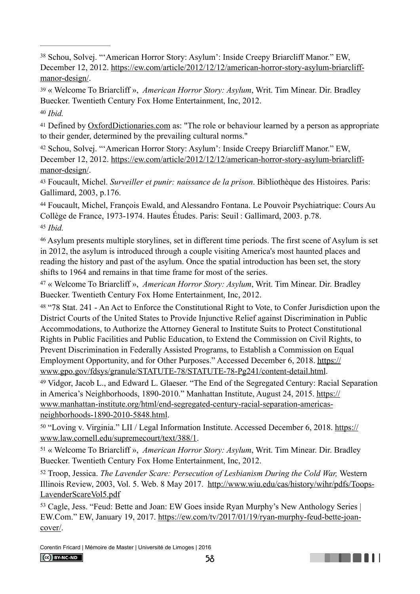<span id="page-57-0"></span>[38](#page-13-2) Schou, Solvej. "'American Horror Story: Asylum': Inside Creepy Briarcliff Manor." EW, December 12, 2012. [https://ew.com/article/2012/12/12/american-horror-story-asylum-briarcliff](http://ew.com/article/2012/12/12/american-horror-story-asylum-briarcliff-manor-design/)[manor-design/](http://ew.com/article/2012/12/12/american-horror-story-asylum-briarcliff-manor-design/).

<span id="page-57-1"></span>[39](#page-13-3) « Welcome To Briarcliff », *American Horror Story: Asylum*, Writ. Tim Minear. Dir. Bradley Buecker. Twentieth Century Fox Home Entertainment, Inc, 2012.

<span id="page-57-2"></span>*Ibid.* [40](#page-13-4)

<span id="page-57-3"></span>[41](#page-13-5) Defined by [OxfordDictionaries.com](http://en.oxforddictionaries.com/definition/gender_role) as: "The role or behaviour learned by a person as appropriate to their gender, determined by the prevailing cultural norms."

<span id="page-57-4"></span><sup>[42](#page-14-1)</sup> Schou, Solvej. "'American Horror Story: Asylum': Inside Creepy Briarcliff Manor." EW, December 12, 2012. [https://ew.com/article/2012/12/12/american-horror-story-asylum-briarcliff](http://ew.com/article/2012/12/12/american-horror-story-asylum-briarcliff-manor-design/)[manor-design/](http://ew.com/article/2012/12/12/american-horror-story-asylum-briarcliff-manor-design/).

<span id="page-57-5"></span>[43](#page-14-2) Foucault, Michel. *Surveiller et punir: naissance de la prison*. Bibliothèque des Histoires. Paris: Gallimard, 2003, p.176.

<span id="page-57-6"></span><sup>[44](#page-14-3)</sup> Foucault, Michel, François Ewald, and Alessandro Fontana. Le Pouvoir Psychiatrique: Cours Au Collège de France, 1973-1974. Hautes Études. Paris: Seuil : Gallimard, 2003. p.78. [45](#page-15-0) *Ibid.* 

<span id="page-57-8"></span><span id="page-57-7"></span> Asylum presents multiple storylines, set in different time periods. The first scene of Asylum is set [46](#page-15-1) in 2012, the asylum is introduced through a couple visiting America's most haunted places and reading the history and past of the asylum. Once the spatial introduction has been set, the story shifts to 1964 and remains in that time frame for most of the series.

<span id="page-57-9"></span> « Welcome To Briarcliff », *American Horror Story: Asylum*, Writ. Tim Minear. Dir. Bradley [47](#page-15-2) Buecker. Twentieth Century Fox Home Entertainment, Inc, 2012.

<span id="page-57-10"></span><sup>[48](#page-16-0)</sup> "78 Stat. 241 - An Act to Enforce the Constitutional Right to Vote, to Confer Jurisdiction upon the District Courts of the United States to Provide Injunctive Relief against Discrimination in Public Accommodations, to Authorize the Attorney General to Institute Suits to Protect Constitutional Rights in Public Facilities and Public Education, to Extend the Commission on Civil Rights, to Prevent Discrimination in Federally Assisted Programs, to Establish a Commission on Equal Employment Opportunity, and for Other Purposes." Accessed December 6, 2018. [https://](http://www.gpo.gov/fdsys/granule/STATUTE-78/STATUTE-78-Pg241/content-detail.html) [www.gpo.gov/fdsys/granule/STATUTE-78/STATUTE-78-Pg241/content-detail.html.](http://www.gpo.gov/fdsys/granule/STATUTE-78/STATUTE-78-Pg241/content-detail.html)

<span id="page-57-11"></span><sup>[49](#page-16-1)</sup> Vidgor, Jacob L., and Edward L. Glaeser. "The End of the Segregated Century: Racial Separation in America's Neighborhoods, 1890-2010." Manhattan Institute, August 24, 2015. [https://](http://www.manhattan-institute.org/html/end-segregated-century-racial-separation-americas-neighborhoods-1890-2010-5848.html) [www.manhattan-institute.org/html/end-segregated-century-racial-separation-americas](http://www.manhattan-institute.org/html/end-segregated-century-racial-separation-americas-neighborhoods-1890-2010-5848.html)[neighborhoods-1890-2010-5848.html](http://www.manhattan-institute.org/html/end-segregated-century-racial-separation-americas-neighborhoods-1890-2010-5848.html).

<span id="page-57-12"></span><sup>50</sup> "Loving v. Virginia." LII / Legal Information Institute. Accessed December 6, 2018. [https://](http://www.law.cornell.edu/supremecourt/text/388/1) [www.law.cornell.edu/supremecourt/text/388/1](http://www.law.cornell.edu/supremecourt/text/388/1).

<span id="page-57-13"></span><sup>[51](#page-17-0)</sup> « Welcome To Briarcliff », *American Horror Story: Asylum*, Writ. Tim Minear. Dir. Bradley Buecker. Twentieth Century Fox Home Entertainment, Inc, 2012.

<span id="page-57-14"></span><sup>[52](#page-18-0)</sup> Troop, Jessica. *The Lavender Scare: Persecution of Lesbianism During the Cold War*, Western Illinois Review, 2003, Vol. 5. Web. 8 May 2017. [http://www.wiu.edu/cas/history/wihr/pdfs/Toops-](http://www.wiu.edu/cas/history/wihr/pdfs/Toops-LavenderScareVol5.pdf)[LavenderScareVol5.pdf](http://www.wiu.edu/cas/history/wihr/pdfs/Toops-LavenderScareVol5.pdf)

<span id="page-57-15"></span> Cagle, Jess. "Feud: Bette and Joan: EW Goes inside Ryan Murphy's New Anthology Series | [53](#page-18-1) EW.Com." EW, January 19, 2017. [https://ew.com/tv/2017/01/19/ryan-murphy-feud-bette-joan](http://ew.com/tv/2017/01/19/ryan-murphy-feud-bette-joan-cover/)[cover/.](http://ew.com/tv/2017/01/19/ryan-murphy-feud-bette-joan-cover/)

Corentin Fricard | Mémoire de Master | Université de Limoges | 2016 CC BY-NC-ND

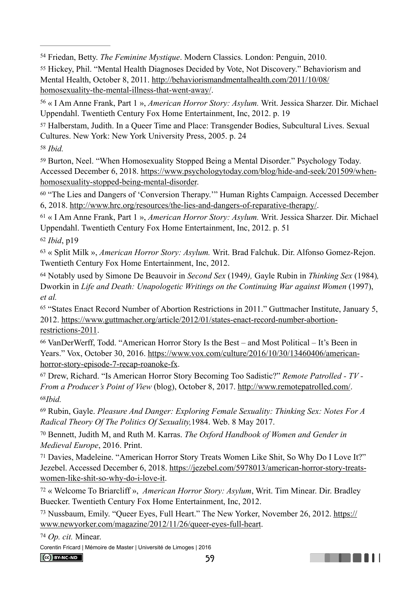<span id="page-58-1"></span>[55](#page-19-3) Hickey, Phil. "Mental Health Diagnoses Decided by Vote, Not Discovery." Behaviorism and Mental Health, October 8, 2011. [http://behaviorismandmentalhealth.com/2011/10/08/](http://behaviorismandmentalhealth.com/2011/10/08/homosexuality-the-mental-illness-that-went-away/) [homosexuality-the-mental-illness-that-went-away/](http://behaviorismandmentalhealth.com/2011/10/08/homosexuality-the-mental-illness-that-went-away/).

<span id="page-58-2"></span><sup>[56](#page-19-4)</sup> « I Am Anne Frank, Part 1 », *American Horror Story: Asylum*. Writ. Jessica Sharzer. Dir. Michael Uppendahl. Twentieth Century Fox Home Entertainment, Inc, 2012. p. 19

<span id="page-58-3"></span>[57](#page-20-0) Halberstam, Judith. In a Queer Time and Place: Transgender Bodies, Subcultural Lives. Sexual Cultures. New York: New York University Press, 2005. p. 24

<span id="page-58-4"></span>*Ibid.* [58](#page-20-1)

<span id="page-58-5"></span>[59](#page-20-2) Burton, Neel. "When Homosexuality Stopped Being a Mental Disorder." Psychology Today. Accessed December 6, 2018. [https://www.psychologytoday.com/blog/hide-and-seek/201509/when](http://www.psychologytoday.com/blog/hide-and-seek/201509/when-homosexuality-stopped-being-mental-disorder)[homosexuality-stopped-being-mental-disorder.](http://www.psychologytoday.com/blog/hide-and-seek/201509/when-homosexuality-stopped-being-mental-disorder)

<span id="page-58-6"></span><sup>[60](#page-20-3)</sup> "The Lies and Dangers of 'Conversion Therapy.'" Human Rights Campaign. Accessed December 6, 2018. <http://www.hrc.org/resources/the-lies-and-dangers-of-reparative-therapy/>.

<span id="page-58-7"></span><sup>[61](#page-20-4)</sup> « I Am Anne Frank, Part 1 », *American Horror Story: Asylum*. Writ. Jessica Sharzer. Dir. Michael Uppendahl. Twentieth Century Fox Home Entertainment, Inc, 2012. p. 51

<span id="page-58-8"></span>[62](#page-21-0) *Ibid*, p19

<span id="page-58-9"></span> « Split Milk », *American Horror Story: Asylum.* Writ. Brad Falchuk. Dir. Alfonso Gomez-Rejon. [63](#page-22-0) Twentieth Century Fox Home Entertainment, Inc, 2012.

<span id="page-58-10"></span> Notably used by Simone De Beauvoir in *Second Sex* (1949*),* Gayle Rubin in *Thinking Sex* (1984)*,* [64](#page-23-1) Dworkin in *Life and Death: Unapologetic Writings on the Continuing War against Women* (1997), *et al.*

<span id="page-58-11"></span><sup>[65](#page-23-2)</sup> "States Enact Record Number of Abortion Restrictions in 2011." Guttmacher Institute, January 5, 2012. [https://www.guttmacher.org/article/2012/01/states-enact-record-number-abortion](http://www.guttmacher.org/article/2012/01/states-enact-record-number-abortion-restrictions-2011)[restrictions-2011.](http://www.guttmacher.org/article/2012/01/states-enact-record-number-abortion-restrictions-2011)

<span id="page-58-12"></span> $66$  VanDerWerff, Todd. "American Horror Story Is the Best – and Most Political – It's Been in Years." Vox, October 30, 2016. [https://www.vox.com/culture/2016/10/30/13460406/american](http://www.vox.com/culture/2016/10/30/13460406/american-horror-story-episode-7-recap-roanoke-fx)[horror-story-episode-7-recap-roanoke-fx](http://www.vox.com/culture/2016/10/30/13460406/american-horror-story-episode-7-recap-roanoke-fx).

<span id="page-58-13"></span> Drew, Richard. "Is American Horror Story Becoming Too Sadistic?" *Remote Patrolled - TV -* [67](#page-24-0) *From a Producer's Point of View* (blog), October 8, 2017. [http://www.remotepatrolled.com/.](http://www.remotepatrolled.com/) *Ibid.* [68](#page-24-1)

<span id="page-58-15"></span><span id="page-58-14"></span> Rubin, Gayle. *Pleasure And Danger: Exploring Female Sexuality: Thinking Sex: Notes For A* [69](#page-25-0) *Radical Theory Of The Politics Of Sexuality,*1984. Web. 8 May 2017.

<span id="page-58-16"></span> Bennett, Judith M, and Ruth M. Karras. *The Oxford Handbook of Women and Gender in* [70](#page-25-1) *Medieval Europe*, 2016. Print.

<span id="page-58-17"></span><sup>[71](#page-25-2)</sup> Davies, Madeleine. "American Horror Story Treats Women Like Shit, So Why Do I Love It?" Jezebel. Accessed December 6, 2018. [https://jezebel.com/5978013/american-horror-story-treats](http://jezebel.com/5978013/american-horror-story-treats-women-like-shit-so-why-do-i-love-it)[women-like-shit-so-why-do-i-love-it](http://jezebel.com/5978013/american-horror-story-treats-women-like-shit-so-why-do-i-love-it).

<span id="page-58-18"></span> « Welcome To Briarcliff », *American Horror Story: Asylum*, Writ. Tim Minear. Dir. Bradley [72](#page-26-3) Buecker. Twentieth Century Fox Home Entertainment, Inc, 2012.

<span id="page-58-19"></span><sup>73</sup> Nussbaum, Emily. "Oueer Eyes, Full Heart." The New Yorker, November 26, 2012. [https://](http://www.newyorker.com/magazine/2012/11/26/queer-eyes-full-heart) [www.newyorker.com/magazine/2012/11/26/queer-eyes-full-heart](http://www.newyorker.com/magazine/2012/11/26/queer-eyes-full-heart).

<span id="page-58-20"></span>*Op. cit.* Minear. [74](#page-26-5)

Corentin Fricard | Mémoire de Master | Université de Limoges | 2016



**THE REAL** 

<span id="page-58-0"></span><sup>&</sup>lt;sup>[54](#page-19-2)</sup> Friedan, Betty. *The Feminine Mystique*. Modern Classics. London: Penguin, 2010.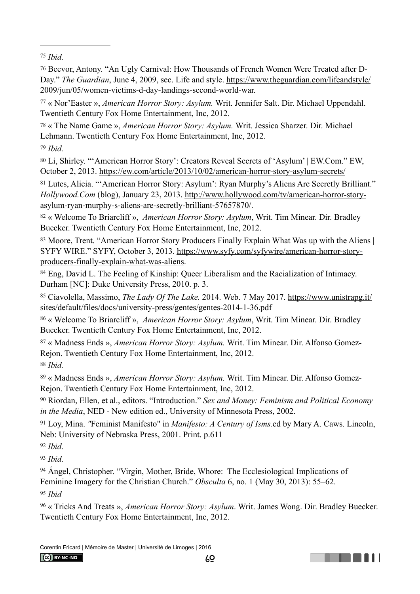<span id="page-59-0"></span>*Ibid.* [75](#page-26-6)

<span id="page-59-1"></span>[76](#page-26-7) Beevor, Antony. "An Ugly Carnival: How Thousands of French Women Were Treated after D-Day." *The Guardian*, June 4, 2009, sec. Life and style. [https://www.theguardian.com/lifeandstyle/](http://www.theguardian.com/lifeandstyle/2009/jun/05/women-victims-d-day-landings-second-world-war) [2009/jun/05/women-victims-d-day-landings-second-world-war.](http://www.theguardian.com/lifeandstyle/2009/jun/05/women-victims-d-day-landings-second-world-war)

<span id="page-59-2"></span> « Nor'Easter », *American Horror Story: Asylum.* Writ. Jennifer Salt. Dir. Michael Uppendahl. [77](#page-27-0) Twentieth Century Fox Home Entertainment, Inc, 2012.

<span id="page-59-3"></span>[78](#page-27-1) « The Name Game », *American Horror Story: Asylum.* Writ. Jessica Sharzer. Dir. Michael Lehmann. Twentieth Century Fox Home Entertainment, Inc, 2012.

<span id="page-59-4"></span>*Ibid.* [79](#page-27-2)

<span id="page-59-5"></span>[80](#page-28-0) Li, Shirley. "'American Horror Story': Creators Reveal Secrets of 'Asylum' | EW.Com." EW, October 2, 2013. [https://ew.com/article/2013/10/02/american-horror-story-asylum-secrets/](http://ew.com/article/2013/10/02/american-horror-story-asylum-secrets/)

<span id="page-59-6"></span> Lutes, Alicia. "'American Horror Story: Asylum': Ryan Murphy's Aliens Are Secretly Brilliant." [81](#page-29-1) *Hollywood.Com* (blog), January 23, 2013. [http://www.hollywood.com/tv/american-horror-story](http://www.hollywood.com/tv/american-horror-story-asylum-ryan-murphy-s-aliens-are-secretly-brilliant-57657870/)[asylum-ryan-murphy-s-aliens-are-secretly-brilliant-57657870/](http://www.hollywood.com/tv/american-horror-story-asylum-ryan-murphy-s-aliens-are-secretly-brilliant-57657870/).

<span id="page-59-7"></span><sup>[82](#page-29-2)</sup> « Welcome To Briarcliff », *American Horror Story: Asylum*, Writ. Tim Minear. Dir. Bradley Buecker. Twentieth Century Fox Home Entertainment, Inc, 2012.

<span id="page-59-8"></span>[83](#page-30-0) Moore, Trent. "American Horror Story Producers Finally Explain What Was up with the Aliens | SYFY WIRE." SYFY, October 3, 2013. [https://www.syfy.com/syfywire/american-horror-story](http://www.syfy.com/syfywire/american-horror-story-producers-finally-explain-what-was-aliens)[producers-finally-explain-what-was-aliens.](http://www.syfy.com/syfywire/american-horror-story-producers-finally-explain-what-was-aliens)

<span id="page-59-9"></span><sup>[84](#page-33-0)</sup> Eng, David L. The Feeling of Kinship: Queer Liberalism and the Racialization of Intimacy. Durham [NC]: Duke University Press, 2010. p. 3.

<span id="page-59-10"></span> Ciavolella, Massimo, *The Lady Of The Lake.* 2014. Web. 7 May 2017. [https://www.unistrapg.it/](http://www.unistrapg.it/sites/default/files/docs/university-press/gentes/gentes-2014-1-36.pdf) [85](#page-35-1) [sites/default/files/docs/university-press/gentes/gentes-2014-1-36.pdf](http://www.unistrapg.it/sites/default/files/docs/university-press/gentes/gentes-2014-1-36.pdf)

<span id="page-59-11"></span> « Welcome To Briarcliff », *American Horror Story: Asylum*, Writ. Tim Minear. Dir. Bradley [86](#page-35-2) Buecker. Twentieth Century Fox Home Entertainment, Inc, 2012.

<span id="page-59-12"></span> « Madness Ends », *American Horror Story: Asylum.* Writ. Tim Minear. Dir. Alfonso Gomez- [87](#page-35-3) Rejon. Twentieth Century Fox Home Entertainment, Inc, 2012. *Ibid.* [88](#page-36-0)

<span id="page-59-14"></span><span id="page-59-13"></span> « Madness Ends », *American Horror Story: Asylum.* Writ. Tim Minear. Dir. Alfonso Gomez- [89](#page-36-1) Rejon. Twentieth Century Fox Home Entertainment, Inc, 2012.

<span id="page-59-15"></span> Riordan, Ellen, et al., editors. "Introduction." *Sex and Money: Feminism and Political Economy* [90](#page-37-0) *in the Media*, NED - New edition ed., University of Minnesota Press, 2002.

<span id="page-59-16"></span> Loy, Mina. *"*Feminist Manifesto" in *Manifesto: A Century of Isms.*ed by Mary A. Caws. Lincoln, [91](#page-38-3) Neb: University of Nebraska Press, 2001. Print. p.611

<span id="page-59-17"></span>*Ibid.* [92](#page-38-4)

<span id="page-59-18"></span>*Ibid.* [93](#page-38-5)

<span id="page-59-19"></span><sup>[94](#page-38-6)</sup> Ángel, Christopher. "Virgin, Mother, Bride, Whore: The Ecclesiological Implications of Feminine Imagery for the Christian Church." *Obsculta* 6, no. 1 (May 30, 2013): 55–62. [95](#page-38-7) *Ibid*

<span id="page-59-21"></span><span id="page-59-20"></span> « Tricks And Treats », *American Horror Story: Asylum*. Writ. James Wong. Dir. Bradley Buecker. [96](#page-38-8) Twentieth Century Fox Home Entertainment, Inc, 2012.

Corentin Fricard | Mémoire de Master | Université de Limoges | 2016

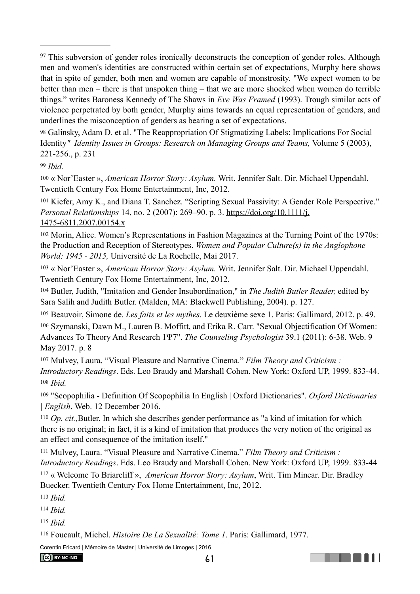<span id="page-60-0"></span><sup>[97](#page-39-0)</sup> This subversion of gender roles ironically deconstructs the conception of gender roles. Although men and women's identities are constructed within certain set of expectations, Murphy here shows that in spite of gender, both men and women are capable of monstrosity. "We expect women to be better than men – there is that unspoken thing – that we are more shocked when women do terrible things." writes Baroness Kennedy of The Shaws in *Eve Was Framed* (1993). Trough similar acts of violence perpetrated by both gender, Murphy aims towards an equal representation of genders, and underlines the misconception of genders as bearing a set of expectations.

<span id="page-60-1"></span>[98](#page-39-1) Galinsky, Adam D. et al. "The Reappropriation Of Stigmatizing Labels: Implications For Social Identity*" Identity Issues in Groups: Research on Managing Groups and Teams,* Volume 5 (2003), 221-256., p. 231

<span id="page-60-2"></span>*Ibid.* [99](#page-40-1)

<span id="page-60-3"></span>[100](#page-40-2) « Nor'Easter », *American Horror Story: Asylum.* Writ. Jennifer Salt. Dir. Michael Uppendahl. Twentieth Century Fox Home Entertainment, Inc, 2012.

<span id="page-60-4"></span><sup>[101](#page-40-3)</sup> Kiefer, Amy K., and Diana T. Sanchez. "Scripting Sexual Passivity: A Gender Role Perspective." *Personal Relationships* 14, no. 2 (2007): 269–90. p. 3. [https://doi.org/10.1111/j.](http://doi.org/10.1111/j.1475-6811.2007.00154.x) [1475-6811.2007.00154.x](http://doi.org/10.1111/j.1475-6811.2007.00154.x)

<span id="page-60-5"></span>[102](#page-40-4) Morin, Alice. Women's Representations in Fashion Magazines at the Turning Point of the 1970s: the Production and Reception of Stereotypes. *Women and Popular Culture(s) in the Anglophone World: 1945 - 2015,* Université de La Rochelle, Mai 2017.

<span id="page-60-6"></span><sup>[103](#page-41-0)</sup> « Nor'Easter », *American Horror Story: Asylum.* Writ. Jennifer Salt. Dir. Michael Uppendahl. Twentieth Century Fox Home Entertainment, Inc, 2012.

<span id="page-60-7"></span><sup>[104](#page-41-1)</sup> Butler, Judith, "Imitation and Gender Insubordination," in *The Judith Butler Reader*, edited by Sara Salih and Judith Butler. (Malden, MA: Blackwell Publishing, 2004). p. 127.

<span id="page-60-8"></span><sup>[105](#page-41-2)</sup> Beauvoir, Simone de. *Les faits et les mythes*. Le deuxième sexe 1. Paris: Gallimard, 2012. p. 49.

<span id="page-60-9"></span><sup>[106](#page-42-0)</sup> Szymanski, Dawn M., Lauren B. Moffitt, and Erika R. Carr. "Sexual Objectification Of Women: Advances To Theory And Research 1Ψ7". *The Counseling Psychologist* 39.1 (2011): 6-38. Web. 9 May 2017. p. 8

<span id="page-60-10"></span><sup>[107](#page-43-2)</sup> Mulvey, Laura. "Visual Pleasure and Narrative Cinema." *Film Theory and Criticism*: *Introductory Readings*. Eds. Leo Braudy and Marshall Cohen. New York: Oxford UP, 1999. 833-44. *Ibid.* [108](#page-43-3)

<span id="page-60-12"></span><span id="page-60-11"></span><sup>[109](#page-43-4)</sup> "Scopophilia - Definition Of Scopophilia In English | Oxford Dictionaries". *Oxford Dictionaries | English*. Web. 12 December 2016.

<span id="page-60-13"></span><sup>[110](#page-43-5)</sup>  $Op.$  *cit.*,Butler. In which she describes gender performance as "a kind of imitation for which there is no original; in fact, it is a kind of imitation that produces the very notion of the original as an effect and consequence of the imitation itself."

<span id="page-60-15"></span><span id="page-60-14"></span> Mulvey, Laura. "Visual Pleasure and Narrative Cinema." *Film Theory and Criticism :* [111](#page-43-6) *Introductory Readings*. Eds. Leo Braudy and Marshall Cohen. New York: Oxford UP, 1999. 833-44 <sup>[112](#page-44-0)</sup> « Welcome To Briarcliff », *American Horror Story: Asylum*, Writ. Tim Minear. Dir. Bradley Buecker. Twentieth Century Fox Home Entertainment, Inc, 2012.

<span id="page-60-16"></span>*Ibid.* [113](#page-44-1)

<span id="page-60-17"></span>*Ibid.* [114](#page-44-2)

<span id="page-60-18"></span>*Ibid.* [115](#page-44-3)

<span id="page-60-19"></span>Foucault, Michel. *Histoire De La Sexualité: Tome 1*. Paris: Gallimard, 1977. [116](#page-44-4)

Corentin Fricard | Mémoire de Master | Université de Limoges | 2016

CC BY-NC-ND